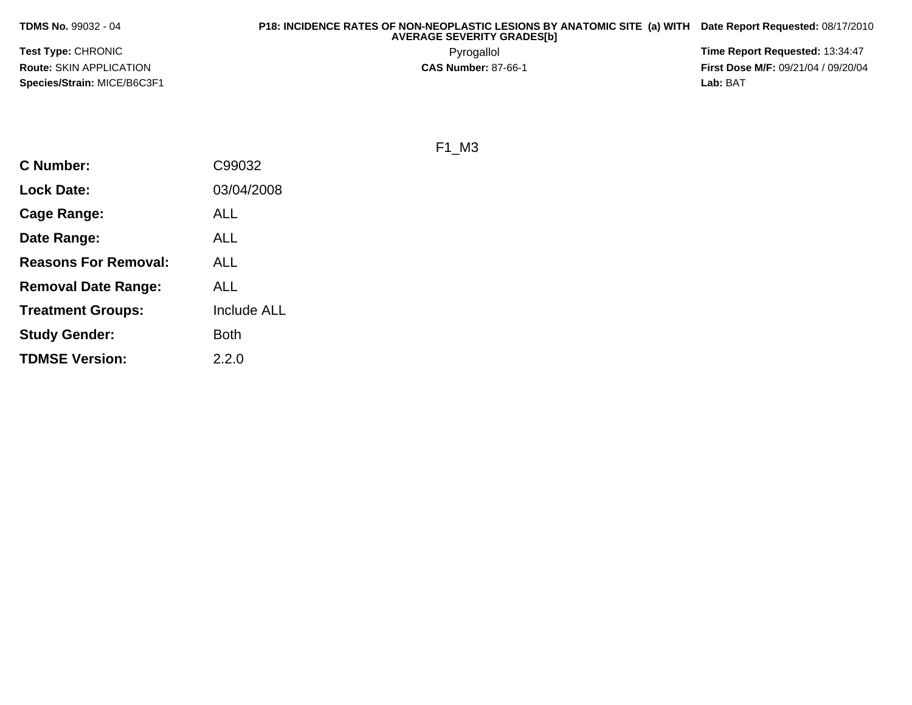**P18: INCIDENCE RATES OF NON-NEOPLASTIC LESIONS BY ANATOMIC SITE (a) WITH AVERAGE SEVERITY GRADES[b] Date Report Requested:** 08/17/2010

**Test Type:** CHRONIC**Route:** SKIN APPLICATION**Species/Strain:** MICE/B6C3F1

 Pyrogallol **Time Report Requested:** 13:34:47 **First Dose M/F:** 09/21/04 / 09/20/04<br>**Lab:** BAT **Lab:** BAT

F1\_M3

| <b>C</b> Number:            | C99032             |
|-----------------------------|--------------------|
| <b>Lock Date:</b>           | 03/04/2008         |
| Cage Range:                 | ALL                |
| Date Range:                 | ALL                |
| <b>Reasons For Removal:</b> | ALL                |
| <b>Removal Date Range:</b>  | ALL                |
| <b>Treatment Groups:</b>    | <b>Include ALL</b> |
| <b>Study Gender:</b>        | Both               |
| <b>TDMSE Version:</b>       | 2.2.0              |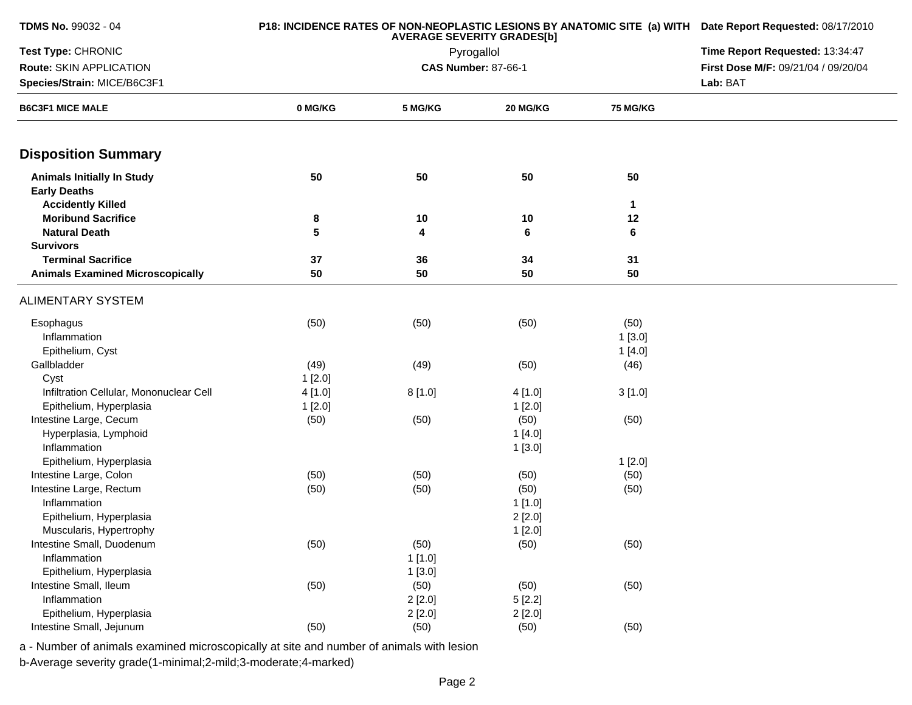| TDMS No. 99032 - 04                                      |         | P18: INCIDENCE RATES OF NON-NEOPLASTIC LESIONS BY ANATOMIC SITE (a) WITH Date Report Requested: 08/17/2010<br>Time Report Requested: 13:34:47 |                            |              |                                     |
|----------------------------------------------------------|---------|-----------------------------------------------------------------------------------------------------------------------------------------------|----------------------------|--------------|-------------------------------------|
| Test Type: CHRONIC                                       |         |                                                                                                                                               |                            |              |                                     |
| Route: SKIN APPLICATION                                  |         |                                                                                                                                               | <b>CAS Number: 87-66-1</b> |              | First Dose M/F: 09/21/04 / 09/20/04 |
| Species/Strain: MICE/B6C3F1                              |         |                                                                                                                                               |                            |              | Lab: BAT                            |
| <b>B6C3F1 MICE MALE</b>                                  | 0 MG/KG | 5 MG/KG                                                                                                                                       | 20 MG/KG                   | 75 MG/KG     |                                     |
| <b>Disposition Summary</b>                               |         |                                                                                                                                               |                            |              |                                     |
| <b>Animals Initially In Study</b><br><b>Early Deaths</b> | 50      | 50                                                                                                                                            | 50                         | 50           |                                     |
| <b>Accidently Killed</b>                                 |         |                                                                                                                                               |                            | $\mathbf{1}$ |                                     |
| <b>Moribund Sacrifice</b>                                | 8       | 10                                                                                                                                            | 10                         | 12           |                                     |
| <b>Natural Death</b>                                     | 5       | 4                                                                                                                                             | 6                          | 6            |                                     |
| <b>Survivors</b>                                         |         |                                                                                                                                               |                            |              |                                     |
| <b>Terminal Sacrifice</b>                                | 37      | 36                                                                                                                                            | 34                         | 31           |                                     |
| <b>Animals Examined Microscopically</b>                  | 50      | 50                                                                                                                                            | 50                         | 50           |                                     |
| <b>ALIMENTARY SYSTEM</b>                                 |         |                                                                                                                                               |                            |              |                                     |
| Esophagus                                                | (50)    | (50)                                                                                                                                          | (50)                       | (50)         |                                     |
| Inflammation                                             |         |                                                                                                                                               |                            | 1[3.0]       |                                     |
| Epithelium, Cyst                                         |         |                                                                                                                                               |                            | 1[4.0]       |                                     |
| Gallbladder                                              | (49)    | (49)                                                                                                                                          | (50)                       | (46)         |                                     |
| Cyst                                                     | 1[2.0]  |                                                                                                                                               |                            |              |                                     |
| Infiltration Cellular, Mononuclear Cell                  | 4[1.0]  | 8[1.0]                                                                                                                                        | 4[1.0]                     | 3[1.0]       |                                     |
| Epithelium, Hyperplasia                                  | 1[2.0]  |                                                                                                                                               | 1[2.0]                     |              |                                     |
| Intestine Large, Cecum                                   | (50)    | (50)                                                                                                                                          | (50)                       | (50)         |                                     |
| Hyperplasia, Lymphoid                                    |         |                                                                                                                                               | 1[4.0]                     |              |                                     |
| Inflammation                                             |         |                                                                                                                                               | 1[3.0]                     |              |                                     |
| Epithelium, Hyperplasia                                  |         |                                                                                                                                               |                            | 1[2.0]       |                                     |
| Intestine Large, Colon                                   | (50)    | (50)                                                                                                                                          | (50)                       | (50)         |                                     |
| Intestine Large, Rectum                                  | (50)    | (50)                                                                                                                                          | (50)                       | (50)         |                                     |
| Inflammation                                             |         |                                                                                                                                               | 1 [1.0]                    |              |                                     |
| Epithelium, Hyperplasia                                  |         |                                                                                                                                               | 2[2.0]                     |              |                                     |
| Muscularis, Hypertrophy                                  |         |                                                                                                                                               | 1[2.0]                     |              |                                     |
| Intestine Small, Duodenum                                | (50)    | (50)                                                                                                                                          | (50)                       | (50)         |                                     |
| Inflammation                                             |         | 1[1.0]                                                                                                                                        |                            |              |                                     |
| Epithelium, Hyperplasia                                  |         | 1[3.0]                                                                                                                                        |                            |              |                                     |
| Intestine Small, Ileum                                   | (50)    | (50)                                                                                                                                          | (50)                       | (50)         |                                     |
| Inflammation                                             |         | 2[2.0]                                                                                                                                        | 5[2.2]                     |              |                                     |
| Epithelium, Hyperplasia                                  |         | 2[2.0]                                                                                                                                        | 2[2.0]                     |              |                                     |
| Intestine Small, Jejunum                                 | (50)    | (50)                                                                                                                                          | (50)                       | (50)         |                                     |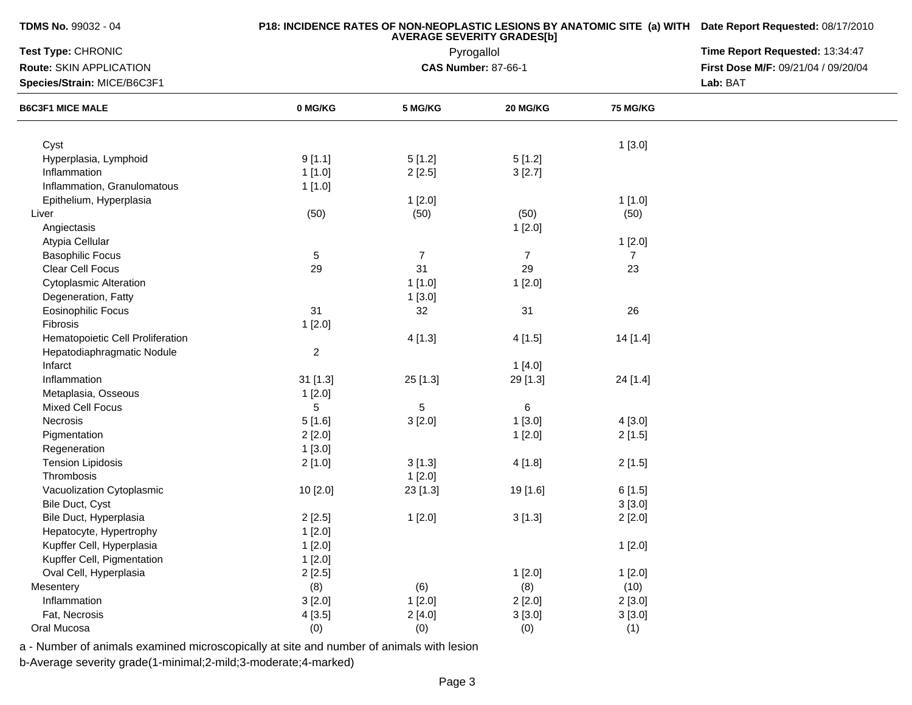|  |  | <b>TDMS No. 99032 - 04</b> |  |
|--|--|----------------------------|--|
|--|--|----------------------------|--|

| Test Type: CHRONIC<br>Pyrogallol |                |                |                            | Time Report Requested: 13:34:47 |                                     |
|----------------------------------|----------------|----------------|----------------------------|---------------------------------|-------------------------------------|
| Route: SKIN APPLICATION          |                |                | <b>CAS Number: 87-66-1</b> |                                 | First Dose M/F: 09/21/04 / 09/20/04 |
| Species/Strain: MICE/B6C3F1      |                |                |                            | Lab: BAT                        |                                     |
| <b>B6C3F1 MICE MALE</b>          | 0 MG/KG        | 5 MG/KG        | 20 MG/KG                   | 75 MG/KG                        |                                     |
|                                  |                |                |                            |                                 |                                     |
| Cyst                             |                |                |                            | 1[3.0]                          |                                     |
| Hyperplasia, Lymphoid            | 9[1.1]         | 5[1.2]         | 5[1.2]                     |                                 |                                     |
| Inflammation                     | 1[1.0]         | 2[2.5]         | 3[2.7]                     |                                 |                                     |
| Inflammation, Granulomatous      | 1[1.0]         |                |                            |                                 |                                     |
| Epithelium, Hyperplasia          |                | 1[2.0]         |                            | 1[1.0]                          |                                     |
| Liver                            | (50)           | (50)           | (50)                       | (50)                            |                                     |
| Angiectasis                      |                |                | 1[2.0]                     |                                 |                                     |
| Atypia Cellular                  |                |                |                            | 1[2.0]                          |                                     |
| <b>Basophilic Focus</b>          | $\overline{5}$ | $\overline{7}$ | $\overline{7}$             | $\overline{7}$                  |                                     |
| Clear Cell Focus                 | 29             | 31             | 29                         | 23                              |                                     |
| <b>Cytoplasmic Alteration</b>    |                | 1[1.0]         | 1[2.0]                     |                                 |                                     |
| Degeneration, Fatty              |                | 1[3.0]         |                            |                                 |                                     |
| <b>Eosinophilic Focus</b>        | 31             | 32             | 31                         | 26                              |                                     |
| Fibrosis                         | 1[2.0]         |                |                            |                                 |                                     |
| Hematopoietic Cell Proliferation |                | 4[1.3]         | 4[1.5]                     | 14[1.4]                         |                                     |
| Hepatodiaphragmatic Nodule       | $\overline{c}$ |                |                            |                                 |                                     |
| Infarct                          |                |                | 1[4.0]                     |                                 |                                     |
| Inflammation                     | $31$ [1.3]     | 25 [1.3]       | 29 [1.3]                   | 24 [1.4]                        |                                     |
| Metaplasia, Osseous              | 1[2.0]         |                |                            |                                 |                                     |
| <b>Mixed Cell Focus</b>          | 5              | 5              | $\,6$                      |                                 |                                     |
| Necrosis                         | 5[1.6]         | 3[2.0]         | 1[3.0]                     | 4[3.0]                          |                                     |
| Pigmentation                     | 2[2.0]         |                | 1[2.0]                     | 2[1.5]                          |                                     |
| Regeneration                     | 1[3.0]         |                |                            |                                 |                                     |
| <b>Tension Lipidosis</b>         | 2[1.0]         | 3[1.3]         | 4[1.8]                     | 2[1.5]                          |                                     |
| Thrombosis                       |                | 1[2.0]         |                            |                                 |                                     |
| Vacuolization Cytoplasmic        | 10 [2.0]       | 23 [1.3]       | 19 [1.6]                   | 6[1.5]                          |                                     |
| Bile Duct, Cyst                  |                |                |                            | 3[3.0]                          |                                     |
| Bile Duct, Hyperplasia           | 2[2.5]         | 1[2.0]         | 3[1.3]                     | 2[2.0]                          |                                     |
| Hepatocyte, Hypertrophy          | 1[2.0]         |                |                            |                                 |                                     |
| Kupffer Cell, Hyperplasia        | 1[2.0]         |                |                            | 1[2.0]                          |                                     |
| Kupffer Cell, Pigmentation       |                |                |                            |                                 |                                     |
|                                  | 1[2.0]         |                |                            |                                 |                                     |
| Oval Cell, Hyperplasia           | 2[2.5]         |                | 1[2.0]                     | 1[2.0]                          |                                     |
| Mesentery                        | (8)            | (6)            | (8)                        | (10)                            |                                     |
| Inflammation                     | 3[2.0]         | 1[2.0]         | 2[2.0]                     | 2[3.0]                          |                                     |
| Fat, Necrosis                    | 4[3.5]         | 2[4.0]         | 3[3.0]                     | 3[3.0]                          |                                     |
| Oral Mucosa                      | (0)            | (0)            | (0)                        | (1)                             |                                     |

a - Number of animals examined microscopically at site and number of animals with lesion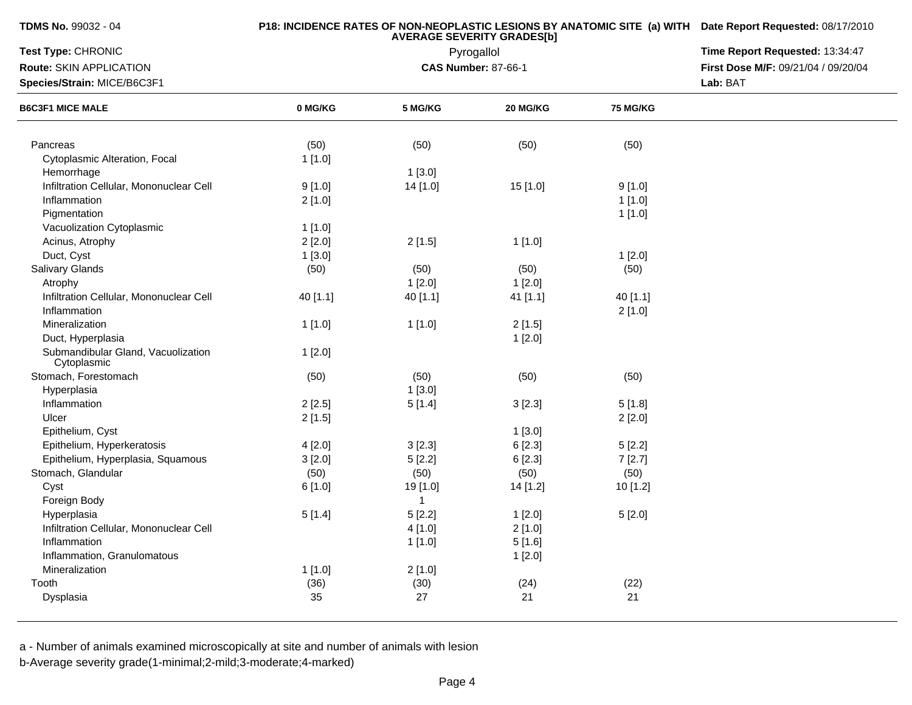# **P18: INCIDENCE RATES OF NON-NEOPLASTIC LESIONS BY ANATOMIC SITE (a) WITH AVERAGE SEVERITY GRADES[b] Date Report Requested:** 08/17/2010

| Test Type: CHRONIC<br>Pyrogallol                  |          |              | Time Report Requested: 13:34:47 |                 |                                     |
|---------------------------------------------------|----------|--------------|---------------------------------|-----------------|-------------------------------------|
| Route: SKIN APPLICATION                           |          |              | <b>CAS Number: 87-66-1</b>      |                 | First Dose M/F: 09/21/04 / 09/20/04 |
| Species/Strain: MICE/B6C3F1                       |          |              |                                 |                 | Lab: BAT                            |
| <b>B6C3F1 MICE MALE</b>                           | 0 MG/KG  | 5 MG/KG      | 20 MG/KG                        | <b>75 MG/KG</b> |                                     |
|                                                   |          |              |                                 |                 |                                     |
| Pancreas                                          | (50)     | (50)         | (50)                            | (50)            |                                     |
| Cytoplasmic Alteration, Focal                     | 1[1.0]   |              |                                 |                 |                                     |
| Hemorrhage                                        |          | 1[3.0]       |                                 |                 |                                     |
| Infiltration Cellular, Mononuclear Cell           | 9[1.0]   | 14 [1.0]     | 15[1.0]                         | 9[1.0]          |                                     |
| Inflammation                                      | 2[1.0]   |              |                                 | 1[1.0]          |                                     |
| Pigmentation                                      |          |              |                                 | 1[1.0]          |                                     |
| Vacuolization Cytoplasmic                         | 1[1.0]   |              |                                 |                 |                                     |
| Acinus, Atrophy                                   | 2[2.0]   | 2[1.5]       | 1[1.0]                          |                 |                                     |
| Duct, Cyst                                        | 1[3.0]   |              |                                 | 1[2.0]          |                                     |
| Salivary Glands                                   | (50)     | (50)         | (50)                            | (50)            |                                     |
| Atrophy                                           |          | 1[2.0]       | 1[2.0]                          |                 |                                     |
| Infiltration Cellular, Mononuclear Cell           | 40 [1.1] | 40 [1.1]     | 41 [1.1]                        | 40 [1.1]        |                                     |
| Inflammation                                      |          |              |                                 | 2[1.0]          |                                     |
| Mineralization                                    | 1[1.0]   | 1[1.0]       | 2[1.5]                          |                 |                                     |
| Duct, Hyperplasia                                 |          |              | 1[2.0]                          |                 |                                     |
| Submandibular Gland, Vacuolization<br>Cytoplasmic | 1[2.0]   |              |                                 |                 |                                     |
| Stomach, Forestomach                              | (50)     | (50)         | (50)                            | (50)            |                                     |
| Hyperplasia                                       |          | 1[3.0]       |                                 |                 |                                     |
| Inflammation                                      | 2[2.5]   | 5[1.4]       | 3[2.3]                          | 5[1.8]          |                                     |
| Ulcer                                             | 2[1.5]   |              |                                 | 2[2.0]          |                                     |
| Epithelium, Cyst                                  |          |              | 1[3.0]                          |                 |                                     |
| Epithelium, Hyperkeratosis                        | 4[2.0]   | 3[2.3]       | 6[2.3]                          | 5[2.2]          |                                     |
| Epithelium, Hyperplasia, Squamous                 | 3[2.0]   | 5[2.2]       | 6[2.3]                          | 7[2.7]          |                                     |
| Stomach, Glandular                                | (50)     | (50)         | (50)                            | (50)            |                                     |
| Cyst                                              | 6[1.0]   | 19 [1.0]     | 14 [1.2]                        | 10 [1.2]        |                                     |
| Foreign Body                                      |          | $\mathbf{1}$ |                                 |                 |                                     |
| Hyperplasia                                       | 5[1.4]   | 5[2.2]       | 1[2.0]                          | 5[2.0]          |                                     |
| Infiltration Cellular, Mononuclear Cell           |          | 4 [1.0]      | $2$ [1.0]                       |                 |                                     |
| Inflammation                                      |          | 1 [1.0]      | 5[1.6]                          |                 |                                     |
| Inflammation, Granulomatous                       |          |              | 1[2.0]                          |                 |                                     |
| Mineralization                                    |          |              |                                 |                 |                                     |
| Tooth                                             | 1[1.0]   | 2[1.0]       |                                 |                 |                                     |
|                                                   | (36)     | (30)<br>27   | (24)<br>21                      | (22)<br>21      |                                     |
| Dysplasia                                         | 35       |              |                                 |                 |                                     |

a - Number of animals examined microscopically at site and number of animals with lesion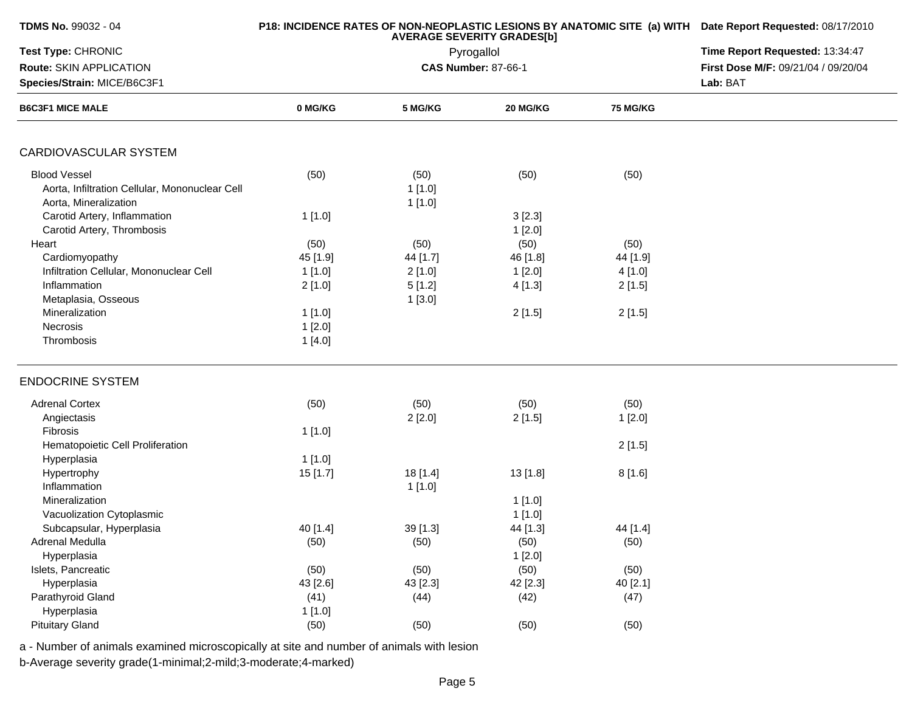| TDMS No. 99032 - 04                                                                                       |                                      | P18: INCIDENCE RATES OF NON-NEOPLASTIC LESIONS BY ANATOMIC SITE (a) WITH Date Report Requested: 08/17/2010 |                                      |                                      |                                     |
|-----------------------------------------------------------------------------------------------------------|--------------------------------------|------------------------------------------------------------------------------------------------------------|--------------------------------------|--------------------------------------|-------------------------------------|
| Test Type: CHRONIC                                                                                        |                                      | <b>AVERAGE SEVERITY GRADES[b]</b><br>Pyrogallol                                                            | Time Report Requested: 13:34:47      |                                      |                                     |
| Route: SKIN APPLICATION                                                                                   |                                      |                                                                                                            | <b>CAS Number: 87-66-1</b>           |                                      | First Dose M/F: 09/21/04 / 09/20/04 |
| Species/Strain: MICE/B6C3F1                                                                               |                                      |                                                                                                            |                                      |                                      | Lab: BAT                            |
| <b>B6C3F1 MICE MALE</b>                                                                                   | 0 MG/KG                              | 5 MG/KG                                                                                                    | 20 MG/KG                             | <b>75 MG/KG</b>                      |                                     |
| CARDIOVASCULAR SYSTEM                                                                                     |                                      |                                                                                                            |                                      |                                      |                                     |
| <b>Blood Vessel</b><br>Aorta, Infiltration Cellular, Mononuclear Cell<br>Aorta, Mineralization            | (50)                                 | (50)<br>1[1.0]<br>1[1.0]                                                                                   | (50)                                 | (50)                                 |                                     |
| Carotid Artery, Inflammation<br>Carotid Artery, Thrombosis                                                | 1[1.0]                               |                                                                                                            | 3[2.3]<br>1[2.0]                     |                                      |                                     |
| Heart<br>Cardiomyopathy<br>Infiltration Cellular, Mononuclear Cell<br>Inflammation<br>Metaplasia, Osseous | (50)<br>45 [1.9]<br>1[1.0]<br>2[1.0] | (50)<br>44 [1.7]<br>2[1.0]<br>5[1.2]<br>1[3.0]                                                             | (50)<br>46 [1.8]<br>1[2.0]<br>4[1.3] | (50)<br>44 [1.9]<br>4[1.0]<br>2[1.5] |                                     |
| Mineralization<br>Necrosis<br>Thrombosis                                                                  | 1[1.0]<br>1[2.0]<br>1[4.0]           |                                                                                                            | 2[1.5]                               | 2[1.5]                               |                                     |
| <b>ENDOCRINE SYSTEM</b>                                                                                   |                                      |                                                                                                            |                                      |                                      |                                     |
| <b>Adrenal Cortex</b><br>Angiectasis<br>Fibrosis                                                          | (50)<br>1[1.0]                       | (50)<br>2[2.0]                                                                                             | (50)<br>2[1.5]                       | (50)<br>1[2.0]                       |                                     |
| Hematopoietic Cell Proliferation<br>Hyperplasia                                                           | 1[1.0]                               |                                                                                                            |                                      | 2[1.5]                               |                                     |
| Hypertrophy<br>Inflammation<br>Mineralization                                                             | 15 [1.7]                             | 18 [1.4]<br>1[1.0]                                                                                         | 13 [1.8]<br>1[1.0]                   | 8[1.6]                               |                                     |
| Vacuolization Cytoplasmic<br>Subcapsular, Hyperplasia<br>Adrenal Medulla<br>Hyperplasia                   | 40 [1.4]<br>(50)                     | 39 [1.3]<br>(50)                                                                                           | 1[1.0]<br>44 [1.3]<br>(50)<br>1[2.0] | 44 [1.4]<br>(50)                     |                                     |
| Islets, Pancreatic<br>Hyperplasia<br>Parathyroid Gland                                                    | (50)<br>43 [2.6]<br>(41)             | (50)<br>43 [2.3]<br>(44)                                                                                   | (50)<br>42 [2.3]<br>(42)             | (50)<br>40 [2.1]<br>(47)             |                                     |
| Hyperplasia<br><b>Pituitary Gland</b>                                                                     | 1[1.0]<br>(50)                       | (50)                                                                                                       | (50)                                 | (50)                                 |                                     |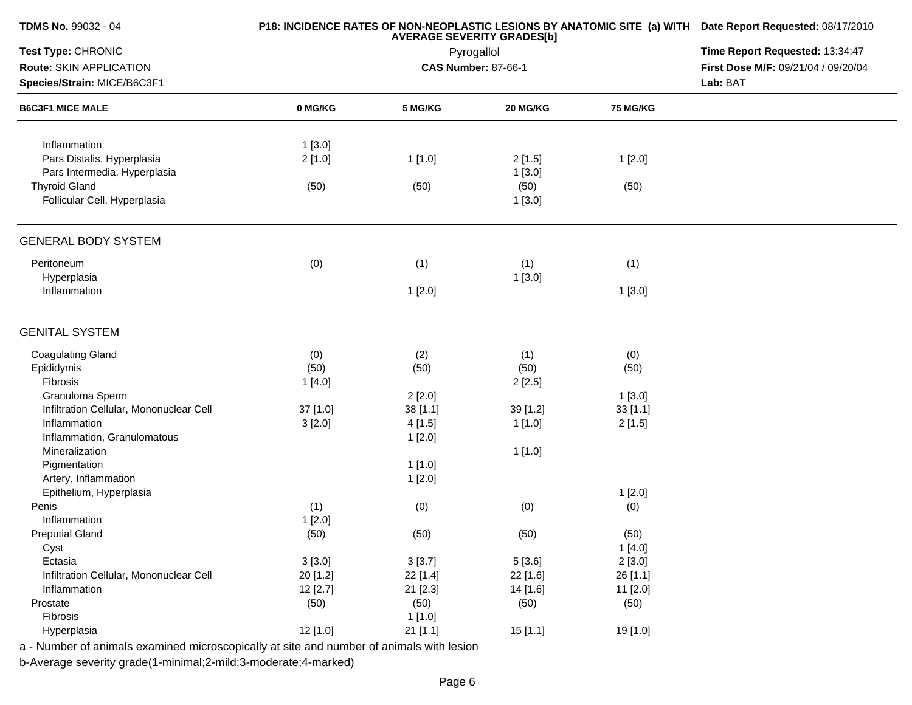| TDMS No. 99032 - 04                                                                      |          | P18: INCIDENCE RATES OF NON-NEOPLASTIC LESIONS BY ANATOMIC SITE (a) WITH Date Report Requested: 08/17/2010 |                            |                 |                                     |  |  |
|------------------------------------------------------------------------------------------|----------|------------------------------------------------------------------------------------------------------------|----------------------------|-----------------|-------------------------------------|--|--|
| Test Type: CHRONIC                                                                       |          | <b>AVERAGE SEVERITY GRADES[b]</b><br>Pyrogallol                                                            |                            |                 |                                     |  |  |
| Route: SKIN APPLICATION                                                                  |          |                                                                                                            | <b>CAS Number: 87-66-1</b> |                 | First Dose M/F: 09/21/04 / 09/20/04 |  |  |
| Species/Strain: MICE/B6C3F1                                                              |          |                                                                                                            |                            |                 | Lab: BAT                            |  |  |
| <b>B6C3F1 MICE MALE</b>                                                                  | 0 MG/KG  | 5 MG/KG                                                                                                    | 20 MG/KG                   | <b>75 MG/KG</b> |                                     |  |  |
|                                                                                          |          |                                                                                                            |                            |                 |                                     |  |  |
| Inflammation                                                                             | 1[3.0]   |                                                                                                            |                            |                 |                                     |  |  |
| Pars Distalis, Hyperplasia                                                               | 2[1.0]   | 1[1.0]                                                                                                     | 2[1.5]                     | 1[2.0]          |                                     |  |  |
| Pars Intermedia, Hyperplasia                                                             |          |                                                                                                            | 1[3.0]                     |                 |                                     |  |  |
| <b>Thyroid Gland</b>                                                                     | (50)     | (50)                                                                                                       | (50)                       | (50)            |                                     |  |  |
| Follicular Cell, Hyperplasia                                                             |          |                                                                                                            | 1[3.0]                     |                 |                                     |  |  |
| <b>GENERAL BODY SYSTEM</b>                                                               |          |                                                                                                            |                            |                 |                                     |  |  |
| Peritoneum                                                                               | (0)      | (1)                                                                                                        | (1)                        | (1)             |                                     |  |  |
| Hyperplasia                                                                              |          |                                                                                                            | 1[3.0]                     |                 |                                     |  |  |
| Inflammation                                                                             |          | 1[2.0]                                                                                                     |                            | 1[3.0]          |                                     |  |  |
| <b>GENITAL SYSTEM</b>                                                                    |          |                                                                                                            |                            |                 |                                     |  |  |
| <b>Coagulating Gland</b>                                                                 | (0)      | (2)                                                                                                        | (1)                        | (0)             |                                     |  |  |
| Epididymis                                                                               | (50)     | (50)                                                                                                       | (50)                       | (50)            |                                     |  |  |
| Fibrosis                                                                                 | 1[4.0]   |                                                                                                            | 2[2.5]                     |                 |                                     |  |  |
| Granuloma Sperm                                                                          |          | 2[2.0]                                                                                                     |                            | 1[3.0]          |                                     |  |  |
| Infiltration Cellular, Mononuclear Cell                                                  | 37 [1.0] | 38 [1.1]                                                                                                   | 39 [1.2]                   | 33[1.1]         |                                     |  |  |
| Inflammation                                                                             | 3[2.0]   | 4[1.5]                                                                                                     | 1[1.0]                     | 2[1.5]          |                                     |  |  |
| Inflammation, Granulomatous                                                              |          | 1[2.0]                                                                                                     |                            |                 |                                     |  |  |
| Mineralization                                                                           |          |                                                                                                            | 1[1.0]                     |                 |                                     |  |  |
| Pigmentation                                                                             |          | 1[1.0]                                                                                                     |                            |                 |                                     |  |  |
| Artery, Inflammation                                                                     |          | 1[2.0]                                                                                                     |                            |                 |                                     |  |  |
| Epithelium, Hyperplasia                                                                  |          |                                                                                                            |                            | 1[2.0]          |                                     |  |  |
| Penis                                                                                    | (1)      | (0)                                                                                                        | (0)                        | (0)             |                                     |  |  |
| Inflammation                                                                             | 1[2.0]   |                                                                                                            |                            |                 |                                     |  |  |
| <b>Preputial Gland</b>                                                                   | (50)     | (50)                                                                                                       | (50)                       | (50)            |                                     |  |  |
| Cyst                                                                                     |          |                                                                                                            |                            | 1 [4.0]         |                                     |  |  |
| Ectasia                                                                                  | 3[3.0]   | 3[3.7]                                                                                                     | 5[3.6]                     | 2[3.0]          |                                     |  |  |
| Infiltration Cellular, Mononuclear Cell                                                  | 20 [1.2] | 22 [1.4]                                                                                                   | 22 [1.6]                   | 26 [1.1]        |                                     |  |  |
| Inflammation                                                                             | 12[2.7]  | 21 [2.3]                                                                                                   | 14 [1.6]                   | 11 [2.0]        |                                     |  |  |
| Prostate                                                                                 | (50)     | (50)                                                                                                       | (50)                       | (50)            |                                     |  |  |
| Fibrosis                                                                                 |          | 1 [1.0]                                                                                                    |                            |                 |                                     |  |  |
| Hyperplasia                                                                              | 12 [1.0] | $21$ [1.1]                                                                                                 | 15[1.1]                    | 19 [1.0]        |                                     |  |  |
| a - Number of animals examined microscopically at site and number of animals with lesion |          |                                                                                                            |                            |                 |                                     |  |  |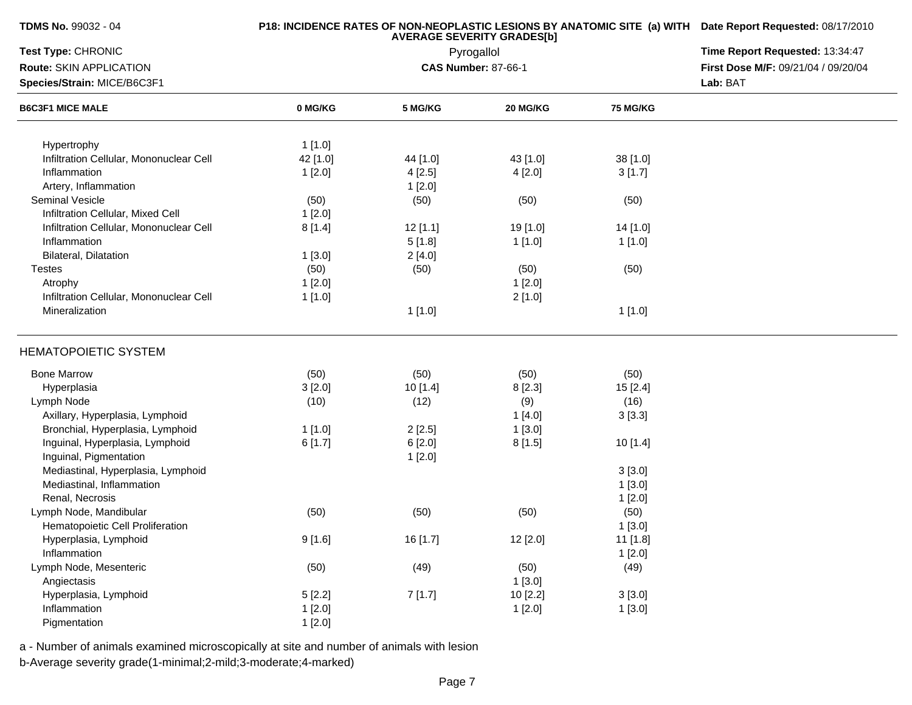## **P18: INCIDENCE RATES OF NON-NEOPLASTIC LESIONS BY ANATOMIC SITE (a) WITH AVERAGE SEVERITY GRADES[b] Date Report Requested:** 08/17/2010

| Test Type: CHRONIC                      |          | Pyrogallol | Time Report Requested: 13:34:47 |          |                                     |
|-----------------------------------------|----------|------------|---------------------------------|----------|-------------------------------------|
| Route: SKIN APPLICATION                 |          |            | <b>CAS Number: 87-66-1</b>      |          | First Dose M/F: 09/21/04 / 09/20/04 |
| Species/Strain: MICE/B6C3F1             |          |            | Lab: BAT                        |          |                                     |
| <b>B6C3F1 MICE MALE</b>                 | 0 MG/KG  | 5 MG/KG    | 20 MG/KG                        | 75 MG/KG |                                     |
|                                         |          |            |                                 |          |                                     |
| Hypertrophy                             | 1[1.0]   |            |                                 |          |                                     |
| Infiltration Cellular, Mononuclear Cell | 42 [1.0] | 44 [1.0]   | 43 [1.0]                        | 38 [1.0] |                                     |
| Inflammation                            | 1[2.0]   | 4[2.5]     | 4[2.0]                          | 3[1.7]   |                                     |
| Artery, Inflammation                    |          | 1[2.0]     |                                 |          |                                     |
| Seminal Vesicle                         | (50)     | (50)       | (50)                            | (50)     |                                     |
| Infiltration Cellular, Mixed Cell       | 1[2.0]   |            |                                 |          |                                     |
| Infiltration Cellular, Mononuclear Cell | 8[1.4]   | 12[1.1]    | 19 [1.0]                        | 14 [1.0] |                                     |
| Inflammation                            |          | 5[1.8]     | 1[1.0]                          | 1[1.0]   |                                     |
| Bilateral, Dilatation                   | 1[3.0]   | 2[4.0]     |                                 |          |                                     |
| <b>Testes</b>                           | (50)     | (50)       | (50)                            | (50)     |                                     |
| Atrophy                                 | 1[2.0]   |            | 1[2.0]                          |          |                                     |
| Infiltration Cellular, Mononuclear Cell | 1[1.0]   |            | 2[1.0]                          |          |                                     |
| Mineralization                          |          | 1[1.0]     |                                 | 1[1.0]   |                                     |
| <b>HEMATOPOIETIC SYSTEM</b>             |          |            |                                 |          |                                     |
| <b>Bone Marrow</b>                      | (50)     | (50)       | (50)                            | (50)     |                                     |
| Hyperplasia                             | 3[2.0]   | 10[1.4]    | 8 [2.3]                         | 15[2.4]  |                                     |
| Lymph Node                              | (10)     | (12)       | (9)                             | (16)     |                                     |
| Axillary, Hyperplasia, Lymphoid         |          |            | 1[4.0]                          | 3[3.3]   |                                     |
| Bronchial, Hyperplasia, Lymphoid        | 1[1.0]   | 2[2.5]     | 1[3.0]                          |          |                                     |
| Inguinal, Hyperplasia, Lymphoid         | 6[1.7]   | 6[2.0]     | 8[1.5]                          | 10 [1.4] |                                     |
| Inguinal, Pigmentation                  |          | 1[2.0]     |                                 |          |                                     |
| Mediastinal, Hyperplasia, Lymphoid      |          |            |                                 | 3[3.0]   |                                     |
| Mediastinal, Inflammation               |          |            |                                 | 1[3.0]   |                                     |
| Renal, Necrosis                         |          |            |                                 | 1[2.0]   |                                     |
| Lymph Node, Mandibular                  | (50)     | (50)       | (50)                            | (50)     |                                     |
| Hematopoietic Cell Proliferation        |          |            |                                 | 1[3.0]   |                                     |
| Hyperplasia, Lymphoid                   | 9[1.6]   | 16 [1.7]   | 12 [2.0]                        | 11 [1.8] |                                     |
| Inflammation                            |          |            |                                 | 1[2.0]   |                                     |
| Lymph Node, Mesenteric                  | (50)     | (49)       | (50)                            | (49)     |                                     |
| Angiectasis                             |          |            | 1[3.0]                          |          |                                     |
| Hyperplasia, Lymphoid                   | 5[2.2]   | 7[1.7]     | 10 [2.2]                        | 3[3.0]   |                                     |
| Inflammation                            | 1[2.0]   |            | 1[2.0]                          | 1[3.0]   |                                     |
| Pigmentation                            |          |            |                                 |          |                                     |
|                                         | 1[2.0]   |            |                                 |          |                                     |

a - Number of animals examined microscopically at site and number of animals with lesion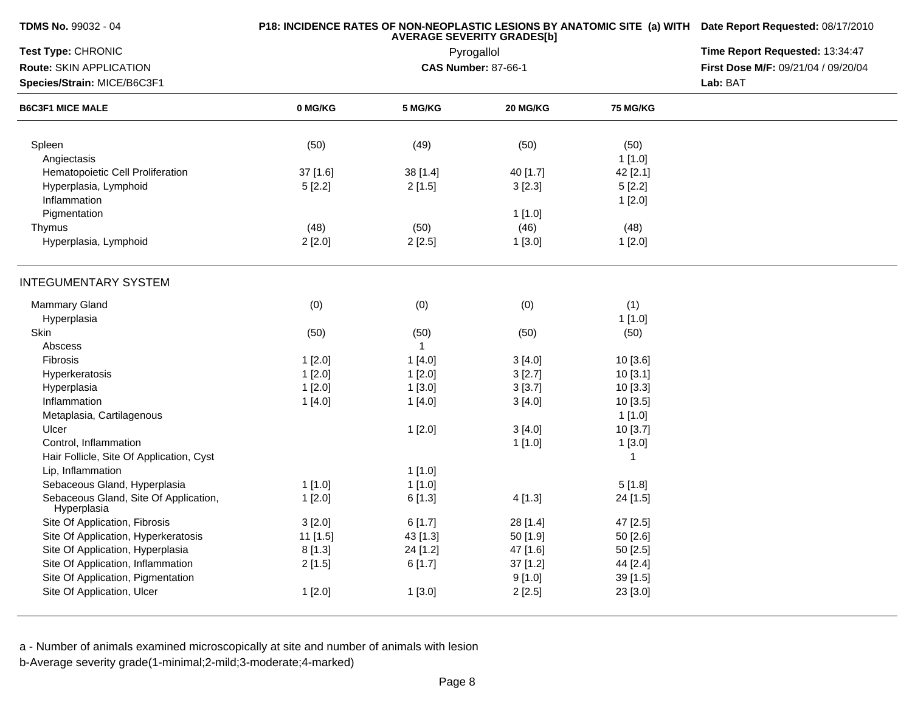|           | P18: INCIDENCE RATES OF NON-NEOPLASTIC LESIONS BY ANATOMIC SITE (a) WITH Date Report Requested: 08/17/2010 |                                                                                                  |                                                                                                                                                                      |                                                                                                                                      |
|-----------|------------------------------------------------------------------------------------------------------------|--------------------------------------------------------------------------------------------------|----------------------------------------------------------------------------------------------------------------------------------------------------------------------|--------------------------------------------------------------------------------------------------------------------------------------|
|           | Time Report Requested: 13:34:47                                                                            |                                                                                                  |                                                                                                                                                                      |                                                                                                                                      |
|           |                                                                                                            |                                                                                                  |                                                                                                                                                                      | First Dose M/F: 09/21/04 / 09/20/04                                                                                                  |
|           |                                                                                                            |                                                                                                  |                                                                                                                                                                      | Lab: BAT                                                                                                                             |
| 0 MG/KG   | 5 MG/KG                                                                                                    | 20 MG/KG                                                                                         | <b>75 MG/KG</b>                                                                                                                                                      |                                                                                                                                      |
|           |                                                                                                            |                                                                                                  |                                                                                                                                                                      |                                                                                                                                      |
|           |                                                                                                            |                                                                                                  |                                                                                                                                                                      |                                                                                                                                      |
|           |                                                                                                            |                                                                                                  |                                                                                                                                                                      |                                                                                                                                      |
|           |                                                                                                            |                                                                                                  |                                                                                                                                                                      |                                                                                                                                      |
|           |                                                                                                            |                                                                                                  |                                                                                                                                                                      |                                                                                                                                      |
|           |                                                                                                            |                                                                                                  |                                                                                                                                                                      |                                                                                                                                      |
|           |                                                                                                            |                                                                                                  |                                                                                                                                                                      |                                                                                                                                      |
|           |                                                                                                            |                                                                                                  |                                                                                                                                                                      |                                                                                                                                      |
|           |                                                                                                            |                                                                                                  |                                                                                                                                                                      |                                                                                                                                      |
|           |                                                                                                            |                                                                                                  |                                                                                                                                                                      |                                                                                                                                      |
| (0)       | (0)                                                                                                        | (0)                                                                                              | (1)                                                                                                                                                                  |                                                                                                                                      |
|           |                                                                                                            |                                                                                                  | $1$ [1.0]                                                                                                                                                            |                                                                                                                                      |
|           |                                                                                                            |                                                                                                  |                                                                                                                                                                      |                                                                                                                                      |
|           | $\mathbf{1}$                                                                                               |                                                                                                  |                                                                                                                                                                      |                                                                                                                                      |
| 1[2.0]    | 1[4.0]                                                                                                     | 3[4.0]                                                                                           | 10 [3.6]                                                                                                                                                             |                                                                                                                                      |
| 1[2.0]    | 1[2.0]                                                                                                     | 3[2.7]                                                                                           | 10[3.1]                                                                                                                                                              |                                                                                                                                      |
| 1[2.0]    | 1[3.0]                                                                                                     | 3[3.7]                                                                                           | 10 [3.3]                                                                                                                                                             |                                                                                                                                      |
| 1[4.0]    | 1[4.0]                                                                                                     | 3[4.0]                                                                                           | 10[3.5]                                                                                                                                                              |                                                                                                                                      |
|           |                                                                                                            |                                                                                                  | 1[1.0]                                                                                                                                                               |                                                                                                                                      |
|           | 1[2.0]                                                                                                     | 3[4.0]                                                                                           | 10 [3.7]                                                                                                                                                             |                                                                                                                                      |
|           |                                                                                                            | 1[1.0]                                                                                           | 1[3.0]                                                                                                                                                               |                                                                                                                                      |
|           |                                                                                                            |                                                                                                  | $\mathbf{1}$                                                                                                                                                         |                                                                                                                                      |
|           | 1[1.0]                                                                                                     |                                                                                                  |                                                                                                                                                                      |                                                                                                                                      |
| $1$ [1.0] | 1[1.0]                                                                                                     |                                                                                                  | 5[1.8]                                                                                                                                                               |                                                                                                                                      |
| 1[2.0]    | 6[1.3]                                                                                                     | 4[1.3]                                                                                           | 24 [1.5]                                                                                                                                                             |                                                                                                                                      |
|           |                                                                                                            |                                                                                                  |                                                                                                                                                                      |                                                                                                                                      |
|           |                                                                                                            |                                                                                                  |                                                                                                                                                                      |                                                                                                                                      |
|           |                                                                                                            |                                                                                                  |                                                                                                                                                                      |                                                                                                                                      |
|           |                                                                                                            |                                                                                                  |                                                                                                                                                                      |                                                                                                                                      |
|           |                                                                                                            |                                                                                                  |                                                                                                                                                                      |                                                                                                                                      |
| 1[2.0]    | 1[3.0]                                                                                                     | 2[2.5]                                                                                           | 23 [3.0]                                                                                                                                                             |                                                                                                                                      |
|           | (50)<br>37 [1.6]<br>5[2.2]<br>(48)<br>2[2.0]<br>(50)<br>3[2.0]<br>11 [1.5]<br>8[1.3]<br>2[1.5]             | (49)<br>38 [1.4]<br>2[1.5]<br>(50)<br>2[2.5]<br>(50)<br>6[1.7]<br>43 [1.3]<br>24 [1.2]<br>6[1.7] | Pyrogallol<br><b>CAS Number: 87-66-1</b><br>(50)<br>40 [1.7]<br>3[2.3]<br>1[1.0]<br>(46)<br>1[3.0]<br>(50)<br>28 [1.4]<br>50 [1.9]<br>47 [1.6]<br>37 [1.2]<br>9[1.0] | (50)<br>1[1.0]<br>42 [2.1]<br>5[2.2]<br>1[2.0]<br>(48)<br>1[2.0]<br>(50)<br>47 [2.5]<br>50 [2.6]<br>50 [2.5]<br>44 [2.4]<br>39 [1.5] |

b-Average severity grade(1-minimal;2-mild;3-moderate;4-marked)

**TDMS No.** 99032 - 04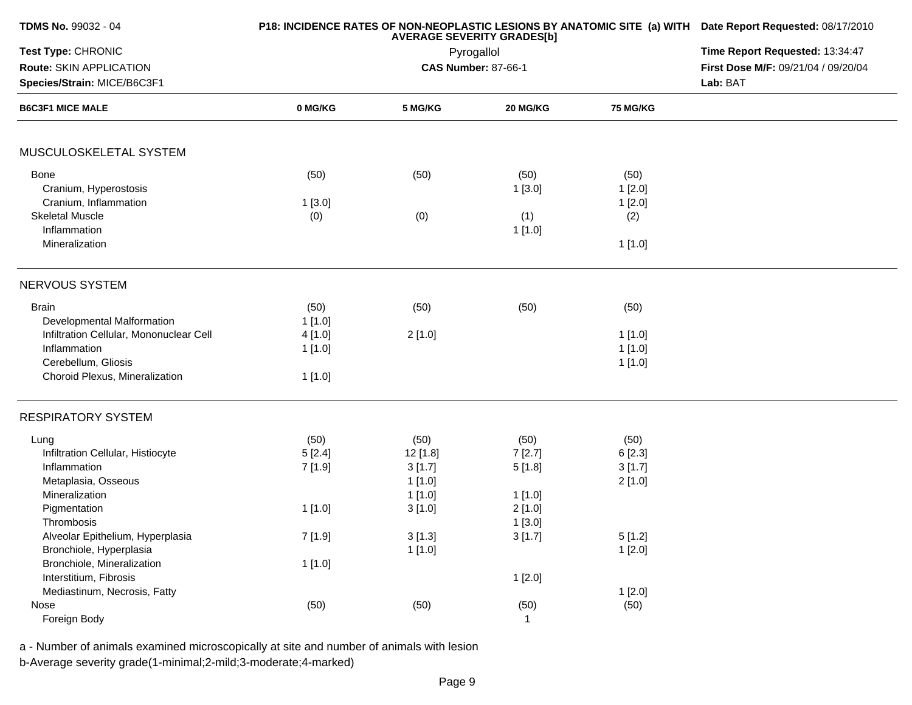| <b>TDMS No. 99032 - 04</b>              |         | P18: INCIDENCE RATES OF NON-NEOPLASTIC LESIONS BY ANATOMIC SITE (a) WITH Date Report Requested: 08/17/2010 |                            |                 |                                     |
|-----------------------------------------|---------|------------------------------------------------------------------------------------------------------------|----------------------------|-----------------|-------------------------------------|
| Test Type: CHRONIC                      |         | Time Report Requested: 13:34:47                                                                            |                            |                 |                                     |
| Route: SKIN APPLICATION                 |         |                                                                                                            | <b>CAS Number: 87-66-1</b> |                 | First Dose M/F: 09/21/04 / 09/20/04 |
| Species/Strain: MICE/B6C3F1             |         |                                                                                                            |                            |                 | Lab: BAT                            |
| <b>B6C3F1 MICE MALE</b>                 | 0 MG/KG | 5 MG/KG                                                                                                    | 20 MG/KG                   | <b>75 MG/KG</b> |                                     |
| MUSCULOSKELETAL SYSTEM                  |         |                                                                                                            |                            |                 |                                     |
| <b>Bone</b>                             | (50)    | (50)                                                                                                       | (50)                       | (50)            |                                     |
| Cranium, Hyperostosis                   |         |                                                                                                            | 1[3.0]                     | 1[2.0]          |                                     |
| Cranium, Inflammation                   | 1[3.0]  |                                                                                                            |                            | 1[2.0]          |                                     |
| <b>Skeletal Muscle</b>                  | (0)     | (0)                                                                                                        | (1)                        | (2)             |                                     |
| Inflammation                            |         |                                                                                                            | 1[1.0]                     |                 |                                     |
| Mineralization                          |         |                                                                                                            |                            | 1[1.0]          |                                     |
| NERVOUS SYSTEM                          |         |                                                                                                            |                            |                 |                                     |
| <b>Brain</b>                            | (50)    | (50)                                                                                                       | (50)                       | (50)            |                                     |
| Developmental Malformation              | 1[1.0]  |                                                                                                            |                            |                 |                                     |
| Infiltration Cellular, Mononuclear Cell | 4 [1.0] | 2[1.0]                                                                                                     |                            | 1[1.0]          |                                     |
| Inflammation                            | 1[1.0]  |                                                                                                            |                            | 1[1.0]          |                                     |
| Cerebellum, Gliosis                     |         |                                                                                                            |                            | 1[1.0]          |                                     |
| Choroid Plexus, Mineralization          | 1[1.0]  |                                                                                                            |                            |                 |                                     |
| <b>RESPIRATORY SYSTEM</b>               |         |                                                                                                            |                            |                 |                                     |
| Lung                                    | (50)    | (50)                                                                                                       | (50)                       | (50)            |                                     |
| Infiltration Cellular, Histiocyte       | 5[2.4]  | 12 [1.8]                                                                                                   | 7[2.7]                     | 6[2.3]          |                                     |
| Inflammation                            | 7[1.9]  | 3[1.7]                                                                                                     | 5[1.8]                     | 3[1.7]          |                                     |
| Metaplasia, Osseous                     |         | 1[1.0]                                                                                                     |                            | 2[1.0]          |                                     |
| Mineralization                          |         | 1[1.0]                                                                                                     | 1[1.0]                     |                 |                                     |
| Pigmentation                            | 1[1.0]  | 3[1.0]                                                                                                     | 2[1.0]                     |                 |                                     |
| Thrombosis                              |         |                                                                                                            | 1[3.0]                     |                 |                                     |
| Alveolar Epithelium, Hyperplasia        | 7[1.9]  | 3[1.3]                                                                                                     | 3[1.7]                     | 5[1.2]          |                                     |
| Bronchiole, Hyperplasia                 |         | 1[1.0]                                                                                                     |                            | 1[2.0]          |                                     |
| Bronchiole, Mineralization              | 1[1.0]  |                                                                                                            |                            |                 |                                     |
| Interstitium, Fibrosis                  |         |                                                                                                            | 1[2.0]                     |                 |                                     |
| Mediastinum, Necrosis, Fatty            |         |                                                                                                            |                            | 1[2.0]          |                                     |
| Nose                                    | (50)    | (50)                                                                                                       | (50)                       | (50)            |                                     |
| Foreign Body                            |         |                                                                                                            | $\mathbf{1}$               |                 |                                     |

a - Number of animals examined microscopically at site and number of animals with lesionb-Average severity grade(1-minimal;2-mild;3-moderate;4-marked)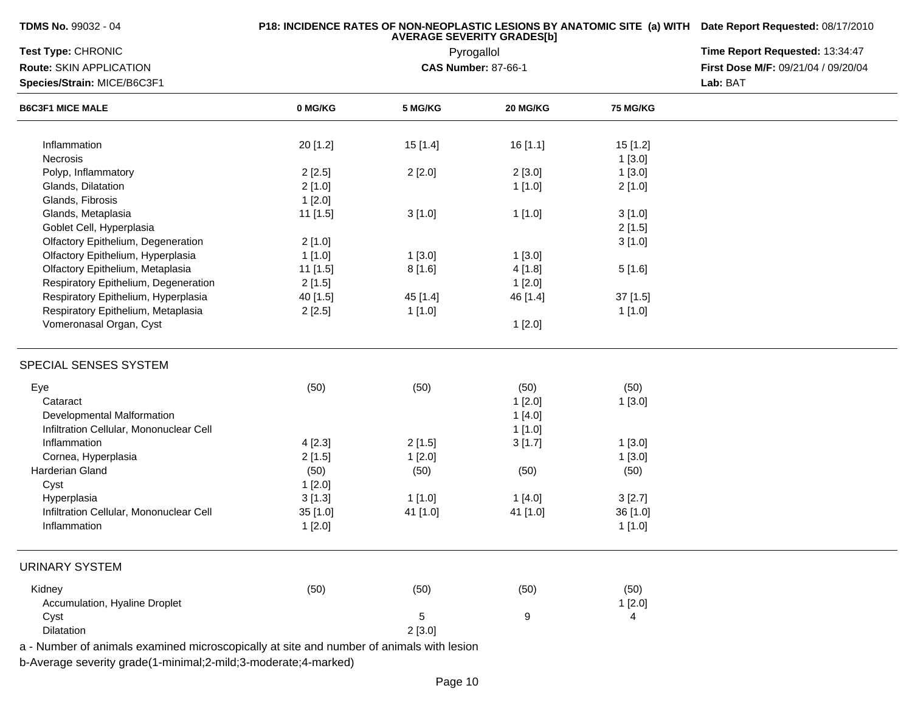| <b>TDMS No.</b> 99032 - 04 |  |
|----------------------------|--|
|----------------------------|--|

| <b>Test Type: CHRONIC</b><br>Route: SKIN APPLICATION<br>Species/Strain: MICE/B6C3F1      | Pyrogallol<br><b>CAS Number: 87-66-1</b> |          |          |          | Time Report Requested: 13:34:47<br>First Dose M/F: 09/21/04 / 09/20/04<br>Lab: BAT |
|------------------------------------------------------------------------------------------|------------------------------------------|----------|----------|----------|------------------------------------------------------------------------------------|
| <b>B6C3F1 MICE MALE</b>                                                                  | 0 MG/KG                                  | 5 MG/KG  | 20 MG/KG | 75 MG/KG |                                                                                    |
| Inflammation                                                                             | 20 [1.2]                                 | 15 [1.4] | 16 [1.1] | 15 [1.2] |                                                                                    |
| Necrosis                                                                                 |                                          |          |          | 1[3.0]   |                                                                                    |
| Polyp, Inflammatory                                                                      | 2[2.5]                                   | 2[2.0]   | 2[3.0]   | 1[3.0]   |                                                                                    |
| Glands, Dilatation                                                                       | 2[1.0]                                   |          | 1[1.0]   | 2[1.0]   |                                                                                    |
| Glands, Fibrosis                                                                         | 1[2.0]                                   |          |          |          |                                                                                    |
| Glands, Metaplasia                                                                       | 11 [1.5]                                 | 3[1.0]   | 1[1.0]   | 3[1.0]   |                                                                                    |
| Goblet Cell, Hyperplasia                                                                 |                                          |          |          | 2[1.5]   |                                                                                    |
| Olfactory Epithelium, Degeneration                                                       | 2[1.0]                                   |          |          | 3[1.0]   |                                                                                    |
| Olfactory Epithelium, Hyperplasia                                                        | 1[1.0]                                   | 1[3.0]   | 1[3.0]   |          |                                                                                    |
| Olfactory Epithelium, Metaplasia                                                         | 11 [1.5]                                 | 8[1.6]   | 4[1.8]   | 5[1.6]   |                                                                                    |
| Respiratory Epithelium, Degeneration                                                     | 2[1.5]                                   |          | 1[2.0]   |          |                                                                                    |
| Respiratory Epithelium, Hyperplasia                                                      | 40 [1.5]                                 | 45 [1.4] | 46 [1.4] | 37 [1.5] |                                                                                    |
| Respiratory Epithelium, Metaplasia                                                       | 2[2.5]                                   | 1[1.0]   |          | 1[1.0]   |                                                                                    |
| Vomeronasal Organ, Cyst                                                                  |                                          |          | 1[2.0]   |          |                                                                                    |
| SPECIAL SENSES SYSTEM                                                                    |                                          |          |          |          |                                                                                    |
| Eye                                                                                      | (50)                                     | (50)     | (50)     | (50)     |                                                                                    |
| Cataract                                                                                 |                                          |          | 1[2.0]   | 1[3.0]   |                                                                                    |
| Developmental Malformation                                                               |                                          |          | 1[4.0]   |          |                                                                                    |
| Infiltration Cellular, Mononuclear Cell                                                  |                                          |          | 1[1.0]   |          |                                                                                    |
| Inflammation                                                                             | 4[2.3]                                   | 2[1.5]   | 3[1.7]   | 1[3.0]   |                                                                                    |
| Cornea, Hyperplasia                                                                      | 2[1.5]                                   | 1[2.0]   |          | 1[3.0]   |                                                                                    |
| Harderian Gland                                                                          | (50)                                     | (50)     | (50)     | (50)     |                                                                                    |
| Cyst                                                                                     | 1[2.0]                                   |          |          |          |                                                                                    |
| Hyperplasia                                                                              | 3[1.3]                                   | 1[1.0]   | 1[4.0]   | 3[2.7]   |                                                                                    |
| Infiltration Cellular, Mononuclear Cell                                                  | 35 [1.0]                                 | 41 [1.0] | 41 [1.0] | 36 [1.0] |                                                                                    |
| Inflammation                                                                             | 1[2.0]                                   |          |          | 1[1.0]   |                                                                                    |
| <b>URINARY SYSTEM</b>                                                                    |                                          |          |          |          |                                                                                    |
| Kidney                                                                                   | (50)                                     | (50)     | (50)     | (50)     |                                                                                    |
| Accumulation, Hyaline Droplet                                                            |                                          |          |          | 1[2.0]   |                                                                                    |
| Cyst                                                                                     |                                          | 5        | 9        | 4        |                                                                                    |
| Dilatation                                                                               |                                          | 2[3.0]   |          |          |                                                                                    |
| a - Number of animals examined microscopically at site and number of animals with lesion |                                          |          |          |          |                                                                                    |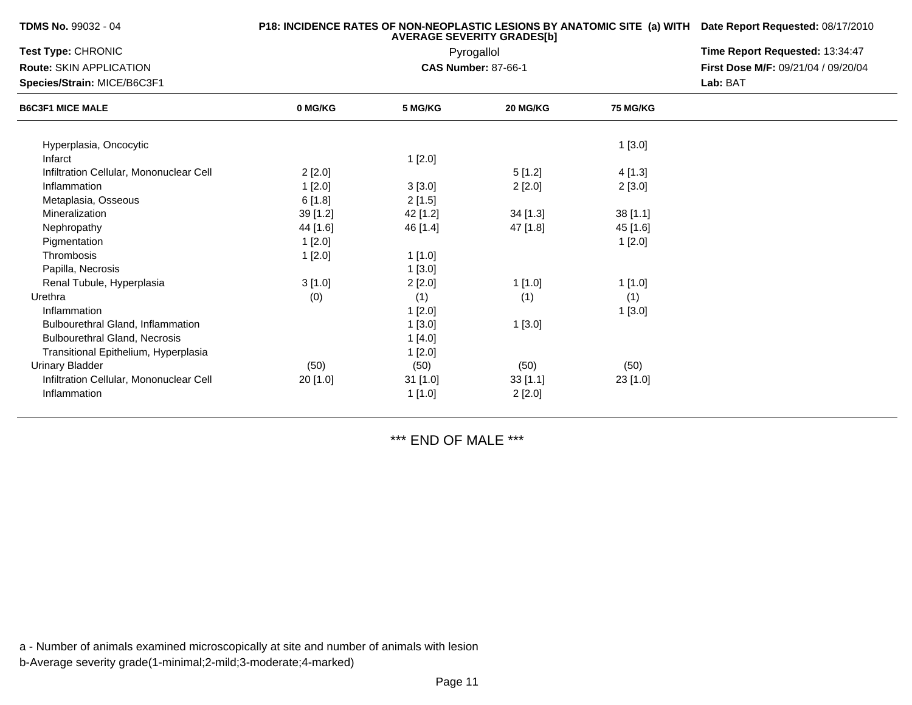| <b>TDMS No.</b> 99032 - 04              |          | P18: INCIDENCE RATES OF NON-NEOPLASTIC LESIONS BY ANATOMIC SITE (a) WITH Date Report Requested: 08/17/2010 |                            |                 |                                     |
|-----------------------------------------|----------|------------------------------------------------------------------------------------------------------------|----------------------------|-----------------|-------------------------------------|
| Test Type: CHRONIC                      |          | Time Report Requested: 13:34:47                                                                            |                            |                 |                                     |
| <b>Route: SKIN APPLICATION</b>          |          |                                                                                                            | <b>CAS Number: 87-66-1</b> |                 | First Dose M/F: 09/21/04 / 09/20/04 |
| Species/Strain: MICE/B6C3F1             |          |                                                                                                            |                            |                 | Lab: BAT                            |
| <b>B6C3F1 MICE MALE</b>                 | 0 MG/KG  | 5 MG/KG                                                                                                    | 20 MG/KG                   | <b>75 MG/KG</b> |                                     |
| Hyperplasia, Oncocytic                  |          |                                                                                                            |                            | 1[3.0]          |                                     |
| Infarct                                 |          | 1[2.0]                                                                                                     |                            |                 |                                     |
| Infiltration Cellular, Mononuclear Cell | 2[2.0]   |                                                                                                            | 5[1.2]                     | 4[1.3]          |                                     |
| Inflammation                            | 1[2.0]   | 3[3.0]                                                                                                     | 2[2.0]                     | 2[3.0]          |                                     |
| Metaplasia, Osseous                     | 6[1.8]   | 2[1.5]                                                                                                     |                            |                 |                                     |
| Mineralization                          | 39 [1.2] | 42 [1.2]                                                                                                   | $34$ [1.3]                 | 38[1.1]         |                                     |
| Nephropathy                             | 44 [1.6] | 46 [1.4]                                                                                                   | 47 [1.8]                   | 45 [1.6]        |                                     |
| Pigmentation                            | 1[2.0]   |                                                                                                            |                            | 1[2.0]          |                                     |
| Thrombosis                              | 1[2.0]   | 1[1.0]                                                                                                     |                            |                 |                                     |
| Papilla, Necrosis                       |          | 1[3.0]                                                                                                     |                            |                 |                                     |
| Renal Tubule, Hyperplasia               | 3[1.0]   | 2[2.0]                                                                                                     | 1[1.0]                     | 1 [1.0]         |                                     |
| Urethra                                 | (0)      | (1)                                                                                                        | (1)                        | (1)             |                                     |
| Inflammation                            |          | 1[2.0]                                                                                                     |                            | 1[3.0]          |                                     |
| Bulbourethral Gland, Inflammation       |          | 1[3.0]                                                                                                     | 1[3.0]                     |                 |                                     |
| <b>Bulbourethral Gland, Necrosis</b>    |          | 1[4.0]                                                                                                     |                            |                 |                                     |
| Transitional Epithelium, Hyperplasia    |          | 1[2.0]                                                                                                     |                            |                 |                                     |
| <b>Urinary Bladder</b>                  | (50)     | (50)                                                                                                       | (50)                       | (50)            |                                     |
| Infiltration Cellular, Mononuclear Cell | 20 [1.0] | 31 [1.0]                                                                                                   | 33[1.1]                    | 23 [1.0]        |                                     |
| Inflammation                            |          | 1[1.0]                                                                                                     | 2[2.0]                     |                 |                                     |

\*\*\* END OF MALE \*\*\*

a - Number of animals examined microscopically at site and number of animals with lesionb-Average severity grade(1-minimal;2-mild;3-moderate;4-marked)

**TDMS No.** 99032 - 04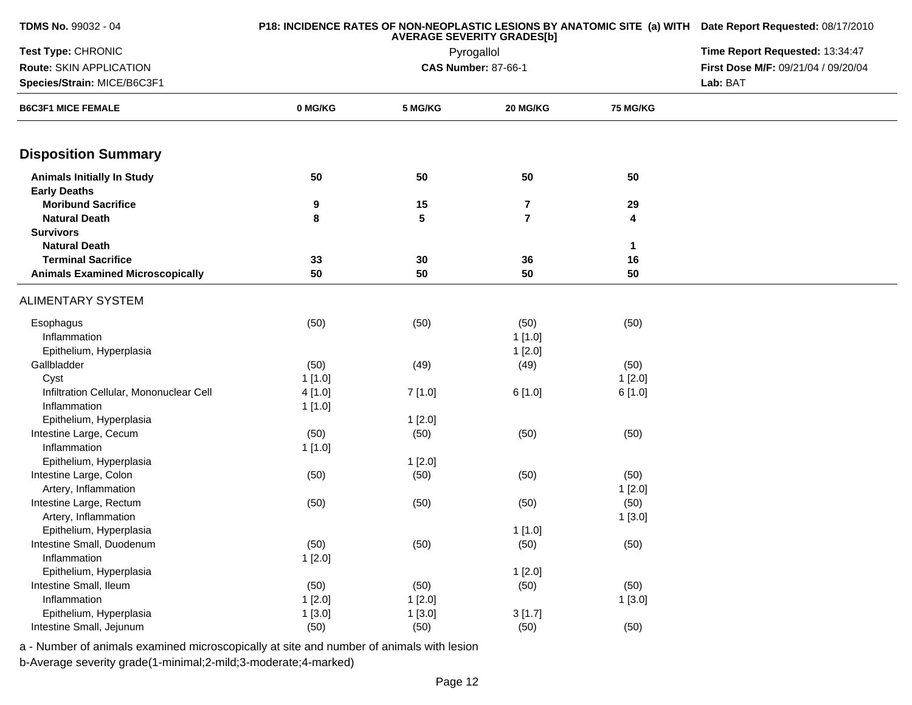| TDMS No. 99032 - 04                                      |         | P18: INCIDENCE RATES OF NON-NEOPLASTIC LESIONS BY ANATOMIC SITE (a) WITH Date Report Requested: 08/17/2010<br>Time Report Requested: 13:34:47 |                            |              |                                     |
|----------------------------------------------------------|---------|-----------------------------------------------------------------------------------------------------------------------------------------------|----------------------------|--------------|-------------------------------------|
| Test Type: CHRONIC                                       |         |                                                                                                                                               |                            |              |                                     |
| Route: SKIN APPLICATION                                  |         |                                                                                                                                               | <b>CAS Number: 87-66-1</b> |              | First Dose M/F: 09/21/04 / 09/20/04 |
| Species/Strain: MICE/B6C3F1                              |         |                                                                                                                                               |                            |              | Lab: BAT                            |
| <b>B6C3F1 MICE FEMALE</b>                                | 0 MG/KG | 5 MG/KG                                                                                                                                       | 20 MG/KG                   | 75 MG/KG     |                                     |
| <b>Disposition Summary</b>                               |         |                                                                                                                                               |                            |              |                                     |
| <b>Animals Initially In Study</b><br><b>Early Deaths</b> | 50      | 50                                                                                                                                            | 50                         | 50           |                                     |
| <b>Moribund Sacrifice</b>                                | 9       | 15                                                                                                                                            | $\overline{7}$             | 29           |                                     |
| <b>Natural Death</b>                                     | 8       | 5                                                                                                                                             | $\overline{7}$             | 4            |                                     |
| <b>Survivors</b>                                         |         |                                                                                                                                               |                            |              |                                     |
| <b>Natural Death</b>                                     |         |                                                                                                                                               |                            | $\mathbf{1}$ |                                     |
| <b>Terminal Sacrifice</b>                                | 33      | 30                                                                                                                                            | 36                         | 16           |                                     |
| <b>Animals Examined Microscopically</b>                  | 50      | 50                                                                                                                                            | 50                         | 50           |                                     |
| ALIMENTARY SYSTEM                                        |         |                                                                                                                                               |                            |              |                                     |
| Esophagus                                                | (50)    | (50)                                                                                                                                          | (50)                       | (50)         |                                     |
| Inflammation                                             |         |                                                                                                                                               | 1[1.0]                     |              |                                     |
| Epithelium, Hyperplasia                                  |         |                                                                                                                                               | 1[2.0]                     |              |                                     |
| Gallbladder                                              | (50)    | (49)                                                                                                                                          | (49)                       | (50)         |                                     |
| Cyst                                                     | 1[1.0]  |                                                                                                                                               |                            | 1[2.0]       |                                     |
| Infiltration Cellular, Mononuclear Cell                  | 4[1.0]  | 7[1.0]                                                                                                                                        | 6[1.0]                     | 6[1.0]       |                                     |
| Inflammation                                             | 1[1.0]  |                                                                                                                                               |                            |              |                                     |
| Epithelium, Hyperplasia                                  |         | 1[2.0]                                                                                                                                        |                            |              |                                     |
| Intestine Large, Cecum                                   | (50)    | (50)                                                                                                                                          | (50)                       | (50)         |                                     |
| Inflammation                                             | 1[1.0]  |                                                                                                                                               |                            |              |                                     |
| Epithelium, Hyperplasia                                  |         | 1[2.0]                                                                                                                                        |                            |              |                                     |
| Intestine Large, Colon                                   | (50)    | (50)                                                                                                                                          | (50)                       | (50)         |                                     |
| Artery, Inflammation                                     |         |                                                                                                                                               |                            | 1[2.0]       |                                     |
| Intestine Large, Rectum                                  | (50)    | (50)                                                                                                                                          | (50)                       | (50)         |                                     |
| Artery, Inflammation                                     |         |                                                                                                                                               |                            | 1[3.0]       |                                     |
| Epithelium, Hyperplasia                                  |         |                                                                                                                                               | 1[1.0]                     |              |                                     |
| Intestine Small, Duodenum                                | (50)    | (50)                                                                                                                                          | (50)                       | (50)         |                                     |
| Inflammation                                             | 1[2.0]  |                                                                                                                                               |                            |              |                                     |
| Epithelium, Hyperplasia                                  |         |                                                                                                                                               | 1[2.0]                     |              |                                     |
| Intestine Small, Ileum                                   | (50)    | (50)                                                                                                                                          | (50)                       | (50)         |                                     |
| Inflammation                                             | 1[2.0]  | 1[2.0]                                                                                                                                        |                            | 1[3.0]       |                                     |
| Epithelium, Hyperplasia                                  | 1[3.0]  | 1[3.0]                                                                                                                                        | 3[1.7]                     |              |                                     |
| Intestine Small, Jejunum                                 | (50)    | (50)                                                                                                                                          | (50)                       | (50)         |                                     |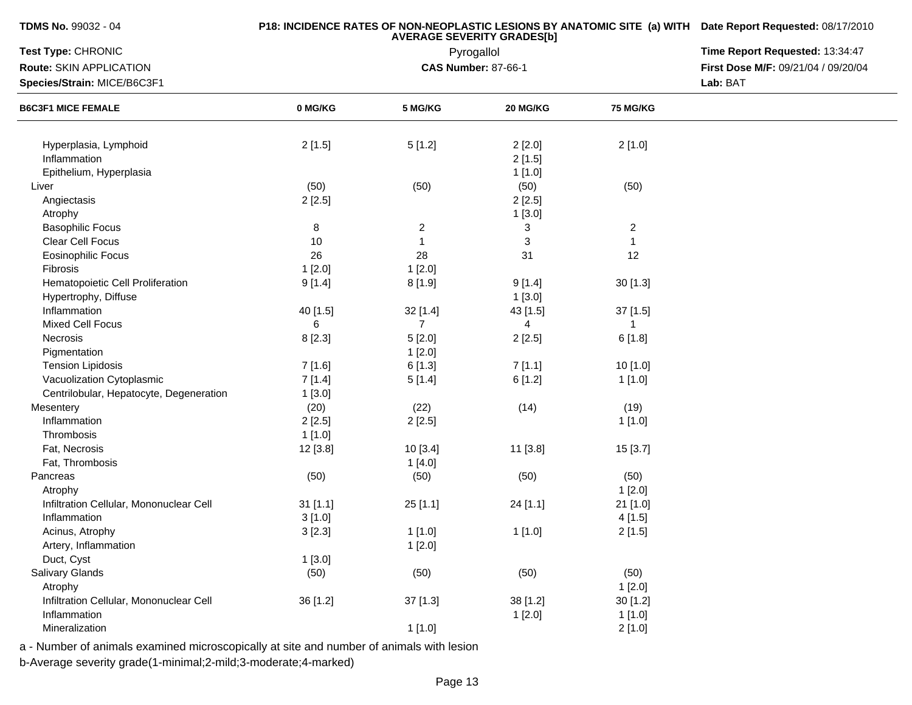## **P18: INCIDENCE RATES OF NON-NEOPLASTIC LESIONS BY ANATOMIC SITE (a) WITH AVERAGE SEVERITY GRADES[b] Date Report Requested:** 08/17/2010

| Test Type: CHRONIC                      |          | Pyrogallol     | Time Report Requested: 13:34:47 |                  |                                     |
|-----------------------------------------|----------|----------------|---------------------------------|------------------|-------------------------------------|
| Route: SKIN APPLICATION                 |          |                | <b>CAS Number: 87-66-1</b>      |                  | First Dose M/F: 09/21/04 / 09/20/04 |
| Species/Strain: MICE/B6C3F1             |          |                |                                 |                  | Lab: BAT                            |
| <b>B6C3F1 MICE FEMALE</b>               | 0 MG/KG  | 5 MG/KG        | 20 MG/KG                        | <b>75 MG/KG</b>  |                                     |
| Hyperplasia, Lymphoid                   | 2[1.5]   | 5[1.2]         | 2[2.0]                          | 2[1.0]           |                                     |
| Inflammation                            |          |                | 2[1.5]                          |                  |                                     |
| Epithelium, Hyperplasia                 |          |                | 1[1.0]                          |                  |                                     |
| Liver                                   | (50)     | (50)           | (50)                            | (50)             |                                     |
| Angiectasis                             | 2[2.5]   |                | 2[2.5]                          |                  |                                     |
| Atrophy                                 |          |                | 1[3.0]                          |                  |                                     |
| <b>Basophilic Focus</b>                 | $\, 8$   | $\overline{c}$ | 3                               | $\boldsymbol{2}$ |                                     |
| Clear Cell Focus                        | 10       | $\mathbf{1}$   | 3                               | $\mathbf{1}$     |                                     |
| Eosinophilic Focus                      | 26       | 28             | 31                              | 12               |                                     |
| Fibrosis                                | 1[2.0]   | 1[2.0]         |                                 |                  |                                     |
| Hematopoietic Cell Proliferation        | 9[1.4]   | 8[1.9]         | 9[1.4]                          | 30 [1.3]         |                                     |
| Hypertrophy, Diffuse                    |          |                | 1[3.0]                          |                  |                                     |
| Inflammation                            | 40 [1.5] | 32 [1.4]       | 43 [1.5]                        | 37 [1.5]         |                                     |
| <b>Mixed Cell Focus</b>                 | 6        | $\overline{7}$ | 4                               | 1                |                                     |
| Necrosis                                | 8[2.3]   | 5[2.0]         | 2[2.5]                          | 6[1.8]           |                                     |
| Pigmentation                            |          | 1[2.0]         |                                 |                  |                                     |
| <b>Tension Lipidosis</b>                | 7 [1.6]  | 6[1.3]         | 7[1.1]                          | 10 [1.0]         |                                     |
| Vacuolization Cytoplasmic               | 7[1.4]   | 5[1.4]         | 6[1.2]                          | 1[1.0]           |                                     |
| Centrilobular, Hepatocyte, Degeneration | 1[3.0]   |                |                                 |                  |                                     |
| Mesentery                               | (20)     | (22)           | (14)                            | (19)             |                                     |
| Inflammation                            | 2[2.5]   | 2[2.5]         |                                 | 1[1.0]           |                                     |
| Thrombosis                              | 1[1.0]   |                |                                 |                  |                                     |
| Fat, Necrosis                           | 12 [3.8] | 10[3.4]        | 11 [3.8]                        | 15 [3.7]         |                                     |
| Fat, Thrombosis                         |          | 1[4.0]         |                                 |                  |                                     |
| Pancreas                                | (50)     | (50)           | (50)                            | (50)             |                                     |
| Atrophy                                 |          |                |                                 | 1[2.0]           |                                     |
| Infiltration Cellular, Mononuclear Cell | 31[1.1]  | 25[1.1]        | 24 [1.1]                        | 21 [1.0]         |                                     |
| Inflammation                            | 3[1.0]   |                |                                 | 4[1.5]           |                                     |
| Acinus, Atrophy                         | 3[2.3]   | 1[1.0]         | 1[1.0]                          | 2[1.5]           |                                     |
| Artery, Inflammation                    |          | 1[2.0]         |                                 |                  |                                     |
| Duct, Cyst                              | 1[3.0]   |                |                                 |                  |                                     |
| Salivary Glands                         | (50)     | (50)           | (50)                            | (50)             |                                     |
| Atrophy                                 |          |                |                                 | 1[2.0]           |                                     |
| Infiltration Cellular, Mononuclear Cell | 36 [1.2] | 37 [1.3]       | 38 [1.2]                        | 30 [1.2]         |                                     |
| Inflammation                            |          |                | 1[2.0]                          | 1[1.0]           |                                     |
| Mineralization                          |          | 1[1.0]         |                                 | 2[1.0]           |                                     |

a - Number of animals examined microscopically at site and number of animals with lesion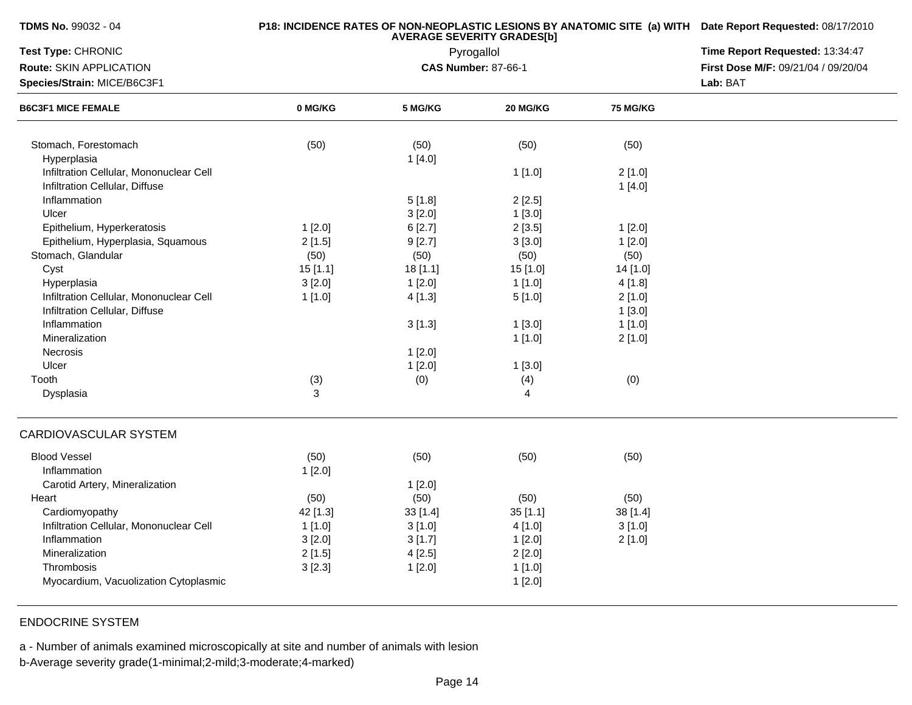| TDMS No. 99032 - 04 |  |  |
|---------------------|--|--|
|---------------------|--|--|

| Test Type: CHRONIC                      |          | Pyrogallol | Time Report Requested: 13:34:47 |                 |                                     |
|-----------------------------------------|----------|------------|---------------------------------|-----------------|-------------------------------------|
| Route: SKIN APPLICATION                 |          |            | <b>CAS Number: 87-66-1</b>      |                 | First Dose M/F: 09/21/04 / 09/20/04 |
| Species/Strain: MICE/B6C3F1             |          |            | Lab: BAT                        |                 |                                     |
| <b>B6C3F1 MICE FEMALE</b>               | 0 MG/KG  | 5 MG/KG    | 20 MG/KG                        | <b>75 MG/KG</b> |                                     |
| Stomach, Forestomach                    | (50)     | (50)       | (50)                            | (50)            |                                     |
| Hyperplasia                             |          | 1[4.0]     |                                 |                 |                                     |
| Infiltration Cellular, Mononuclear Cell |          |            | 1[1.0]                          | 2[1.0]          |                                     |
| Infiltration Cellular, Diffuse          |          |            |                                 | 1[4.0]          |                                     |
| Inflammation                            |          | 5[1.8]     | 2[2.5]                          |                 |                                     |
| Ulcer                                   |          | 3[2.0]     | 1[3.0]                          |                 |                                     |
| Epithelium, Hyperkeratosis              | 1[2.0]   | 6[2.7]     | 2[3.5]                          | 1[2.0]          |                                     |
| Epithelium, Hyperplasia, Squamous       | 2[1.5]   | 9[2.7]     | 3[3.0]                          | 1[2.0]          |                                     |
| Stomach, Glandular                      | (50)     | (50)       | (50)                            | (50)            |                                     |
| Cyst                                    | 15 [1.1] | 18 [1.1]   | 15 [1.0]                        | 14 [1.0]        |                                     |
| Hyperplasia                             | 3[2.0]   | 1[2.0]     | 1[1.0]                          | 4[1.8]          |                                     |
| Infiltration Cellular, Mononuclear Cell | 1[1.0]   | 4[1.3]     | 5[1.0]                          | 2[1.0]          |                                     |
| Infiltration Cellular, Diffuse          |          |            |                                 | 1[3.0]          |                                     |
| Inflammation                            |          | 3[1.3]     | 1[3.0]                          | 1[1.0]          |                                     |
| Mineralization                          |          |            | 1[1.0]                          | 2[1.0]          |                                     |
| Necrosis                                |          | 1[2.0]     |                                 |                 |                                     |
| Ulcer                                   |          | 1[2.0]     | 1[3.0]                          |                 |                                     |
| Tooth                                   | (3)      | (0)        | (4)                             | (0)             |                                     |
| Dysplasia                               | 3        |            | 4                               |                 |                                     |
| CARDIOVASCULAR SYSTEM                   |          |            |                                 |                 |                                     |
| <b>Blood Vessel</b>                     | (50)     | (50)       | (50)                            | (50)            |                                     |
| Inflammation                            | 1[2.0]   |            |                                 |                 |                                     |
| Carotid Artery, Mineralization          |          | 1[2.0]     |                                 |                 |                                     |
| Heart                                   | (50)     | (50)       | (50)                            | (50)            |                                     |
| Cardiomyopathy                          | 42 [1.3] | 33 [1.4]   | 35[1.1]                         | 38 [1.4]        |                                     |
| Infiltration Cellular, Mononuclear Cell | 1[1.0]   | 3[1.0]     | 4[1.0]                          | 3[1.0]          |                                     |
| Inflammation                            | 3[2.0]   | 3[1.7]     | 1[2.0]                          | 2[1.0]          |                                     |
| Mineralization                          | 2[1.5]   | 4[2.5]     | 2[2.0]                          |                 |                                     |
| Thrombosis                              | 3[2.3]   | 1[2.0]     | 1[1.0]                          |                 |                                     |
| Myocardium, Vacuolization Cytoplasmic   |          |            | 1[2.0]                          |                 |                                     |

# ENDOCRINE SYSTEM

a - Number of animals examined microscopically at site and number of animals with lesion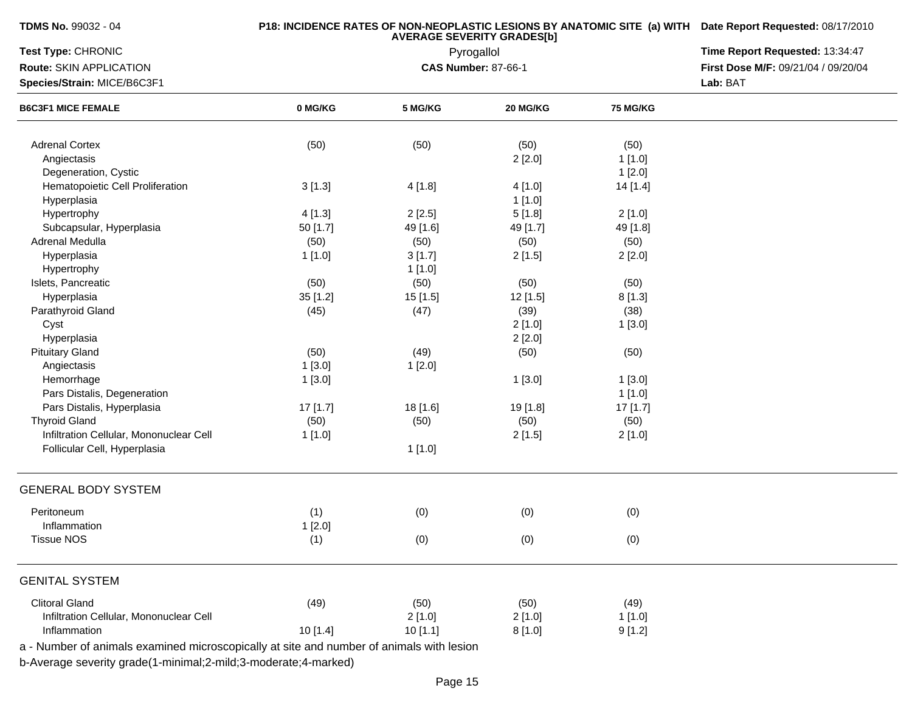|  |  | TDMS No. 99032 - 04 |  |
|--|--|---------------------|--|
|--|--|---------------------|--|

| Test Type: CHRONIC                                                                       |          | Pyrogallol                 | Time Report Requested: 13:34:47<br>First Dose M/F: 09/21/04 / 09/20/04 |          |          |
|------------------------------------------------------------------------------------------|----------|----------------------------|------------------------------------------------------------------------|----------|----------|
| Route: SKIN APPLICATION                                                                  |          | <b>CAS Number: 87-66-1</b> |                                                                        |          |          |
| Species/Strain: MICE/B6C3F1                                                              |          |                            |                                                                        |          | Lab: BAT |
| <b>B6C3F1 MICE FEMALE</b>                                                                | 0 MG/KG  | 5 MG/KG                    | 20 MG/KG                                                               | 75 MG/KG |          |
| <b>Adrenal Cortex</b>                                                                    | (50)     | (50)                       | (50)                                                                   | (50)     |          |
| Angiectasis                                                                              |          |                            | 2[2.0]                                                                 | 1[1.0]   |          |
| Degeneration, Cystic                                                                     |          |                            |                                                                        | 1[2.0]   |          |
| Hematopoietic Cell Proliferation                                                         | 3[1.3]   | 4 [1.8]                    | 4[1.0]                                                                 | 14 [1.4] |          |
| Hyperplasia                                                                              |          |                            | 1[1.0]                                                                 |          |          |
| Hypertrophy                                                                              | 4[1.3]   | 2[2.5]                     | 5[1.8]                                                                 | 2[1.0]   |          |
| Subcapsular, Hyperplasia                                                                 | 50 [1.7] | 49 [1.6]                   | 49 [1.7]                                                               | 49 [1.8] |          |
| Adrenal Medulla                                                                          | (50)     | (50)                       | (50)                                                                   | (50)     |          |
| Hyperplasia                                                                              | 1[1.0]   | 3[1.7]                     | 2[1.5]                                                                 | 2[2.0]   |          |
| Hypertrophy                                                                              |          | 1[1.0]                     |                                                                        |          |          |
| Islets, Pancreatic                                                                       | (50)     | (50)                       | (50)                                                                   | (50)     |          |
| Hyperplasia                                                                              | 35 [1.2] | 15 [1.5]                   | 12 [1.5]                                                               | 8[1.3]   |          |
| Parathyroid Gland                                                                        | (45)     | (47)                       | (39)                                                                   | (38)     |          |
| Cyst                                                                                     |          |                            | 2[1.0]                                                                 | 1[3.0]   |          |
| Hyperplasia                                                                              |          |                            | 2[2.0]                                                                 |          |          |
| <b>Pituitary Gland</b>                                                                   | (50)     | (49)                       | (50)                                                                   | (50)     |          |
| Angiectasis                                                                              | 1[3.0]   | 1[2.0]                     |                                                                        |          |          |
| Hemorrhage                                                                               | 1[3.0]   |                            | 1[3.0]                                                                 | 1[3.0]   |          |
| Pars Distalis, Degeneration                                                              |          |                            |                                                                        | 1[1.0]   |          |
| Pars Distalis, Hyperplasia                                                               | 17 [1.7] | 18 [1.6]                   | 19 [1.8]                                                               | 17[1.7]  |          |
| <b>Thyroid Gland</b>                                                                     | (50)     | (50)                       | (50)                                                                   | (50)     |          |
| Infiltration Cellular, Mononuclear Cell                                                  | 1[1.0]   |                            | 2[1.5]                                                                 | 2[1.0]   |          |
| Follicular Cell, Hyperplasia                                                             |          | 1[1.0]                     |                                                                        |          |          |
| <b>GENERAL BODY SYSTEM</b>                                                               |          |                            |                                                                        |          |          |
| Peritoneum                                                                               | (1)      | (0)                        | (0)                                                                    | (0)      |          |
| Inflammation                                                                             | 1[2.0]   |                            |                                                                        |          |          |
| <b>Tissue NOS</b>                                                                        | (1)      | (0)                        | (0)                                                                    | (0)      |          |
| <b>GENITAL SYSTEM</b>                                                                    |          |                            |                                                                        |          |          |
| <b>Clitoral Gland</b>                                                                    | (49)     | (50)                       | (50)                                                                   | (49)     |          |
| Infiltration Cellular, Mononuclear Cell                                                  |          | 2[1.0]                     | 2[1.0]                                                                 | 1[1.0]   |          |
| Inflammation                                                                             | 10 [1.4] | 10[1.1]                    | 8[1.0]                                                                 | 9[1.2]   |          |
| a - Number of animals examined microscopically at site and number of animals with lesion |          |                            |                                                                        |          |          |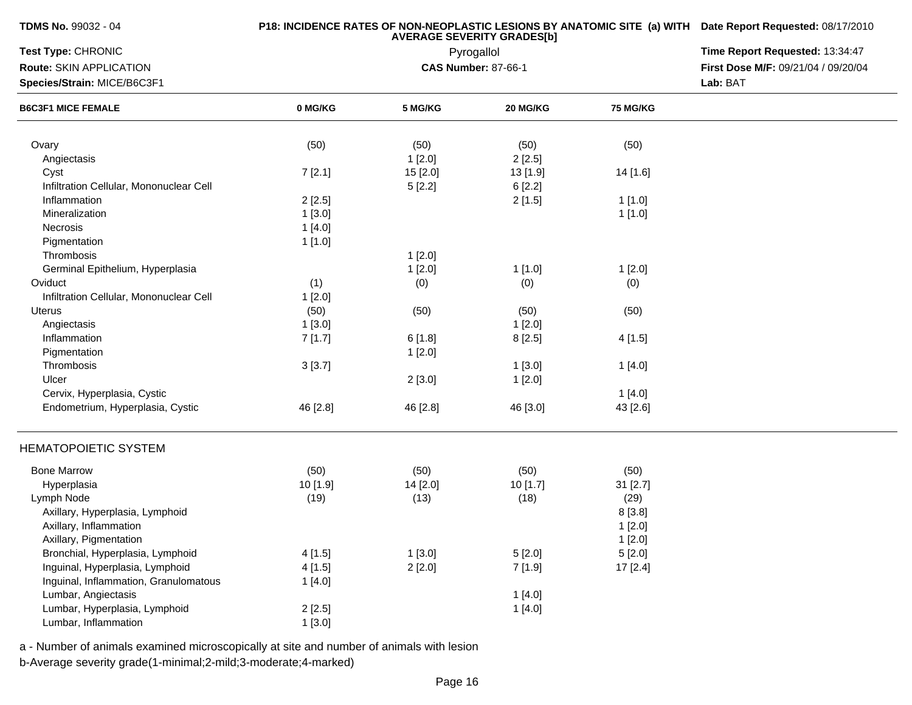| <b>TDMS No. 99032 - 04</b> |  |  |  |
|----------------------------|--|--|--|
|----------------------------|--|--|--|

| Test Type: CHRONIC                      |          | Pyrogallol                 | Time Report Requested: 13:34:47     |                 |  |
|-----------------------------------------|----------|----------------------------|-------------------------------------|-----------------|--|
| Route: SKIN APPLICATION                 |          | <b>CAS Number: 87-66-1</b> | First Dose M/F: 09/21/04 / 09/20/04 |                 |  |
| Species/Strain: MICE/B6C3F1             |          |                            | Lab: BAT                            |                 |  |
| <b>B6C3F1 MICE FEMALE</b>               | 0 MG/KG  | 5 MG/KG                    | 20 MG/KG                            | <b>75 MG/KG</b> |  |
|                                         |          |                            |                                     |                 |  |
| Ovary                                   | (50)     | (50)                       | (50)                                | (50)            |  |
| Angiectasis                             |          | 1[2.0]                     | 2[2.5]                              |                 |  |
| Cyst                                    | 7[2.1]   | 15 [2.0]                   | 13 [1.9]                            | 14 [1.6]        |  |
| Infiltration Cellular, Mononuclear Cell |          | 5[2.2]                     | 6[2.2]                              |                 |  |
| Inflammation                            | 2[2.5]   |                            | 2[1.5]                              | 1[1.0]          |  |
| Mineralization                          | 1[3.0]   |                            |                                     | 1[1.0]          |  |
| Necrosis                                | 1[4.0]   |                            |                                     |                 |  |
| Pigmentation                            | 1[1.0]   |                            |                                     |                 |  |
| Thrombosis                              |          | 1[2.0]                     |                                     |                 |  |
| Germinal Epithelium, Hyperplasia        |          | 1[2.0]                     | 1[1.0]                              | 1[2.0]          |  |
| Oviduct                                 | (1)      | (0)                        | (0)                                 | (0)             |  |
| Infiltration Cellular, Mononuclear Cell | 1[2.0]   |                            |                                     |                 |  |
| Uterus                                  | (50)     | (50)                       | (50)                                | (50)            |  |
| Angiectasis                             | 1[3.0]   |                            | 1[2.0]                              |                 |  |
| Inflammation                            | 7[1.7]   | 6[1.8]                     | 8[2.5]                              | 4[1.5]          |  |
| Pigmentation                            |          | 1[2.0]                     |                                     |                 |  |
| Thrombosis                              | 3[3.7]   |                            | 1[3.0]                              | 1[4.0]          |  |
| Ulcer                                   |          | 2[3.0]                     | 1[2.0]                              |                 |  |
| Cervix, Hyperplasia, Cystic             |          |                            |                                     | 1[4.0]          |  |
| Endometrium, Hyperplasia, Cystic        | 46 [2.8] | 46 [2.8]                   | 46 [3.0]                            | 43 [2.6]        |  |
|                                         |          |                            |                                     |                 |  |
| <b>HEMATOPOIETIC SYSTEM</b>             |          |                            |                                     |                 |  |
| <b>Bone Marrow</b>                      | (50)     | (50)                       | (50)                                | (50)            |  |
| Hyperplasia                             | 10 [1.9] | 14 [2.0]                   | 10[1.7]                             | 31 [2.7]        |  |
| Lymph Node                              | (19)     | (13)                       | (18)                                | (29)            |  |
| Axillary, Hyperplasia, Lymphoid         |          |                            |                                     | 8 [3.8]         |  |
| Axillary, Inflammation                  |          |                            |                                     | 1[2.0]          |  |
| Axillary, Pigmentation                  |          |                            |                                     | 1[2.0]          |  |
| Bronchial, Hyperplasia, Lymphoid        | 4[1.5]   | 1[3.0]                     | 5[2.0]                              | 5[2.0]          |  |
| Inguinal, Hyperplasia, Lymphoid         | 4[1.5]   | 2[2.0]                     | 7 [1.9]                             | 17 [2.4]        |  |
| Inguinal, Inflammation, Granulomatous   | 1[4.0]   |                            |                                     |                 |  |
| Lumbar, Angiectasis                     |          |                            | 1[4.0]                              |                 |  |
| Lumbar, Hyperplasia, Lymphoid           | 2[2.5]   |                            | 1[4.0]                              |                 |  |
| Lumbar, Inflammation                    | 1[3.0]   |                            |                                     |                 |  |

a - Number of animals examined microscopically at site and number of animals with lesion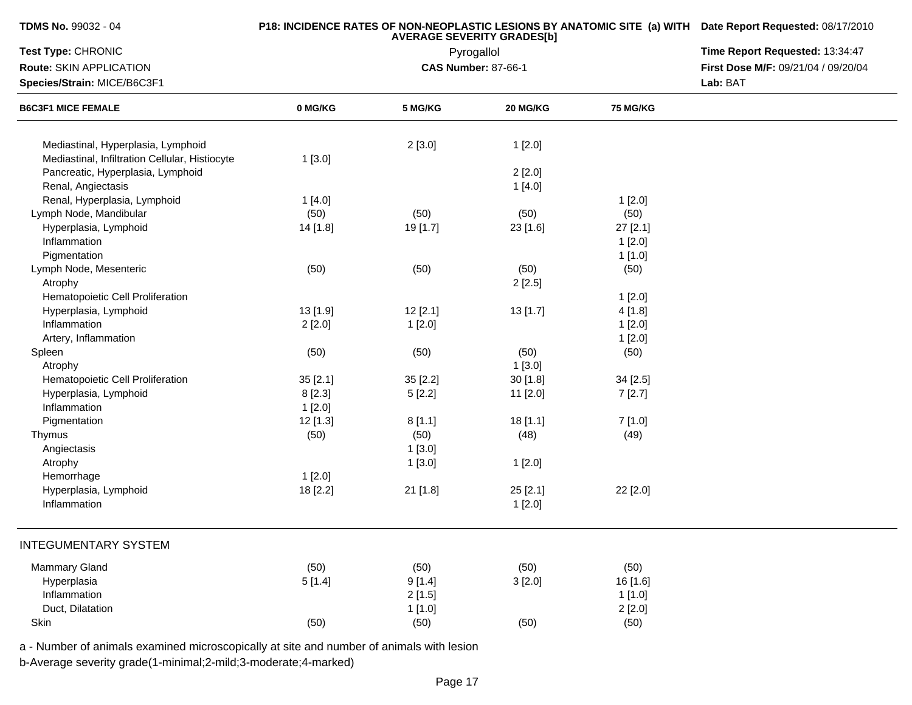# **P18: INCIDENCE RATES OF NON-NEOPLASTIC LESIONS BY ANATOMIC SITE (a) WITH AVERAGE SEVERITY GRADES[b] Date Report Requested:** 08/17/2010

| Test Type: CHRONIC                             |          | Pyrogallol                 | Time Report Requested: 13:34:47 |                                     |  |
|------------------------------------------------|----------|----------------------------|---------------------------------|-------------------------------------|--|
| Route: SKIN APPLICATION                        |          | <b>CAS Number: 87-66-1</b> |                                 | First Dose M/F: 09/21/04 / 09/20/04 |  |
| Species/Strain: MICE/B6C3F1                    |          |                            | Lab: BAT                        |                                     |  |
| <b>B6C3F1 MICE FEMALE</b>                      | 0 MG/KG  | 5 MG/KG                    | 20 MG/KG                        | 75 MG/KG                            |  |
| Mediastinal, Hyperplasia, Lymphoid             |          |                            |                                 |                                     |  |
| Mediastinal, Infiltration Cellular, Histiocyte | 1[3.0]   | 2[3.0]                     | 1[2.0]                          |                                     |  |
| Pancreatic, Hyperplasia, Lymphoid              |          |                            | 2[2.0]                          |                                     |  |
| Renal, Angiectasis                             |          |                            | 1[4.0]                          |                                     |  |
| Renal, Hyperplasia, Lymphoid                   | 1[4.0]   |                            |                                 | 1[2.0]                              |  |
| Lymph Node, Mandibular                         | (50)     | (50)                       | (50)                            | (50)                                |  |
| Hyperplasia, Lymphoid                          | 14 [1.8] | 19 [1.7]                   | 23 [1.6]                        | 27 [2.1]                            |  |
| Inflammation                                   |          |                            |                                 | 1[2.0]                              |  |
| Pigmentation                                   |          |                            |                                 | 1[1.0]                              |  |
| Lymph Node, Mesenteric                         | (50)     | (50)                       | (50)                            | (50)                                |  |
| Atrophy                                        |          |                            | 2[2.5]                          |                                     |  |
| Hematopoietic Cell Proliferation               |          |                            |                                 | 1[2.0]                              |  |
| Hyperplasia, Lymphoid                          | 13 [1.9] | 12[2.1]                    | 13 [1.7]                        | 4[1.8]                              |  |
| Inflammation                                   | 2[2.0]   | 1[2.0]                     |                                 | 1[2.0]                              |  |
| Artery, Inflammation                           |          |                            |                                 | 1[2.0]                              |  |
| Spleen                                         | (50)     | (50)                       | (50)                            | (50)                                |  |
| Atrophy                                        |          |                            | 1[3.0]                          |                                     |  |
| Hematopoietic Cell Proliferation               | 35 [2.1] | 35 [2.2]                   | 30 [1.8]                        | 34 [2.5]                            |  |
| Hyperplasia, Lymphoid                          | 8 [2.3]  | 5[2.2]                     | 11 [2.0]                        | 7[2.7]                              |  |
| Inflammation                                   | 1[2.0]   |                            |                                 |                                     |  |
| Pigmentation                                   | 12 [1.3] | 8[1.1]                     | 18[1.1]                         | 7[1.0]                              |  |
| Thymus                                         | (50)     | (50)                       | (48)                            | (49)                                |  |
| Angiectasis                                    |          | 1[3.0]                     |                                 |                                     |  |
| Atrophy                                        |          | 1[3.0]                     | 1[2.0]                          |                                     |  |
| Hemorrhage                                     | 1[2.0]   |                            |                                 |                                     |  |
| Hyperplasia, Lymphoid                          | 18 [2.2] | 21 [1.8]                   | 25[2.1]                         | 22 [2.0]                            |  |
| Inflammation                                   |          |                            | 1[2.0]                          |                                     |  |
| <b>INTEGUMENTARY SYSTEM</b>                    |          |                            |                                 |                                     |  |
|                                                |          |                            |                                 |                                     |  |
| <b>Mammary Gland</b>                           | (50)     | (50)                       | (50)                            | (50)                                |  |
| Hyperplasia                                    | 5[1.4]   | 9[1.4]                     | 3[2.0]                          | 16 [1.6]                            |  |
| Inflammation                                   |          | 2[1.5]                     |                                 | 1[1.0]                              |  |
| Duct, Dilatation                               |          | 1[1.0]                     |                                 | 2[2.0]                              |  |
| Skin                                           | (50)     | (50)                       | (50)                            | (50)                                |  |

a - Number of animals examined microscopically at site and number of animals with lesion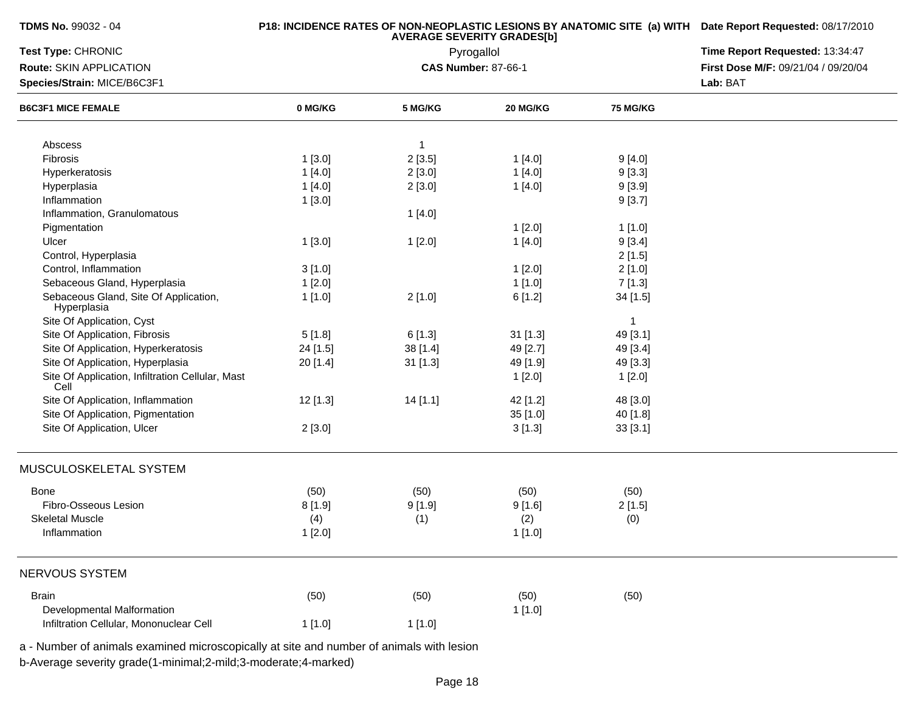| TDMS No. 99032 - 04 |  |  |  |
|---------------------|--|--|--|
|---------------------|--|--|--|

| Test Type: CHRONIC<br>Route: SKIN APPLICATION            |            | Pyrogallol<br><b>CAS Number: 87-66-1</b> | Time Report Requested: 13:34:47<br>First Dose M/F: 09/21/04 / 09/20/04 |                 |  |
|----------------------------------------------------------|------------|------------------------------------------|------------------------------------------------------------------------|-----------------|--|
| Species/Strain: MICE/B6C3F1                              |            |                                          | Lab: BAT                                                               |                 |  |
| <b>B6C3F1 MICE FEMALE</b>                                | 0 MG/KG    | 5 MG/KG                                  | 20 MG/KG                                                               | <b>75 MG/KG</b> |  |
|                                                          |            |                                          |                                                                        |                 |  |
| Abscess                                                  |            | $\overline{1}$                           |                                                                        |                 |  |
| Fibrosis                                                 | 1[3.0]     | 2[3.5]                                   | 1[4.0]                                                                 | 9[4.0]          |  |
| Hyperkeratosis                                           | 1[4.0]     | 2[3.0]                                   | 1[4.0]                                                                 | 9[3.3]          |  |
| Hyperplasia                                              | 1[4.0]     | 2[3.0]                                   | 1[4.0]                                                                 | 9[3.9]          |  |
| Inflammation                                             | 1[3.0]     |                                          |                                                                        | 9[3.7]          |  |
| Inflammation, Granulomatous                              |            | 1[4.0]                                   |                                                                        |                 |  |
| Pigmentation                                             |            |                                          | 1[2.0]                                                                 | 1 [1.0]         |  |
| Ulcer                                                    | 1[3.0]     | 1[2.0]                                   | 1[4.0]                                                                 | 9[3.4]          |  |
| Control, Hyperplasia                                     |            |                                          |                                                                        | 2[1.5]          |  |
| Control, Inflammation                                    | 3[1.0]     |                                          | 1[2.0]                                                                 | 2[1.0]          |  |
| Sebaceous Gland, Hyperplasia                             | 1[2.0]     |                                          | 1[1.0]                                                                 | 7[1.3]          |  |
| Sebaceous Gland, Site Of Application,<br>Hyperplasia     | 1[1.0]     | 2[1.0]                                   | 6[1.2]                                                                 | 34 [1.5]        |  |
| Site Of Application, Cyst                                |            |                                          |                                                                        | $\mathbf{1}$    |  |
| Site Of Application, Fibrosis                            | 5[1.8]     | 6[1.3]                                   | $31$ [1.3]                                                             | 49 [3.1]        |  |
| Site Of Application, Hyperkeratosis                      | 24 [1.5]   | 38 [1.4]                                 | 49 [2.7]                                                               | 49 [3.4]        |  |
| Site Of Application, Hyperplasia                         | 20 [1.4]   | $31$ [1.3]                               | 49 [1.9]                                                               | 49 [3.3]        |  |
| Site Of Application, Infiltration Cellular, Mast<br>Cell |            |                                          | 1[2.0]                                                                 | 1[2.0]          |  |
| Site Of Application, Inflammation                        | $12$ [1.3] | 14[1.1]                                  | 42 [1.2]                                                               | 48 [3.0]        |  |
| Site Of Application, Pigmentation                        |            |                                          | 35[1.0]                                                                | 40 [1.8]        |  |
| Site Of Application, Ulcer                               | 2[3.0]     |                                          | 3[1.3]                                                                 | 33[3.1]         |  |
| MUSCULOSKELETAL SYSTEM                                   |            |                                          |                                                                        |                 |  |
| <b>Bone</b>                                              | (50)       | (50)                                     | (50)                                                                   | (50)            |  |
| Fibro-Osseous Lesion                                     | 8[1.9]     | 9[1.9]                                   | 9[1.6]                                                                 | 2[1.5]          |  |
| <b>Skeletal Muscle</b>                                   | (4)        | (1)                                      | (2)                                                                    | (0)             |  |
| Inflammation                                             | 1[2.0]     |                                          | 1[1.0]                                                                 |                 |  |
| NERVOUS SYSTEM                                           |            |                                          |                                                                        |                 |  |
| <b>Brain</b>                                             | (50)       | (50)                                     | (50)                                                                   | (50)            |  |
| Developmental Malformation                               |            |                                          |                                                                        |                 |  |
| Infiltration Cellular, Mononuclear Cell                  |            |                                          | 1[1.0]                                                                 |                 |  |
|                                                          | 1[1.0]     | 1[1.0]                                   |                                                                        |                 |  |

a - Number of animals examined microscopically at site and number of animals with lesion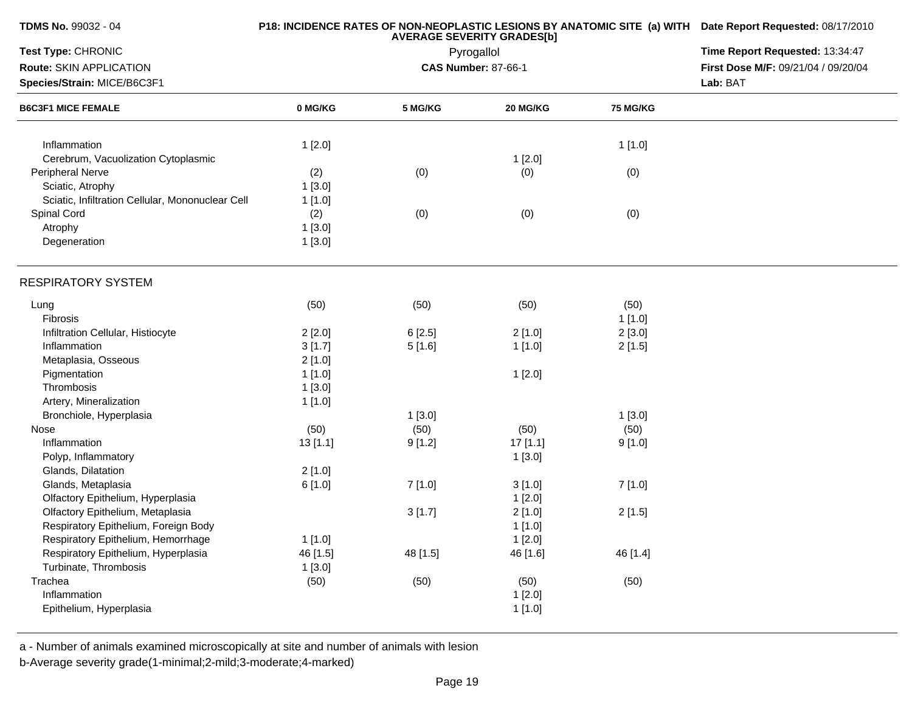| TDMS No. 99032 - 04                              |          | <b>AVERAGE SEVERITY GRADES[b]</b> | P18: INCIDENCE RATES OF NON-NEOPLASTIC LESIONS BY ANATOMIC SITE (a) WITH Date Report Requested: 08/17/2010<br>Time Report Requested: 13:34:47 |                 |                                     |
|--------------------------------------------------|----------|-----------------------------------|-----------------------------------------------------------------------------------------------------------------------------------------------|-----------------|-------------------------------------|
| Test Type: CHRONIC                               |          | Pyrogallol                        |                                                                                                                                               |                 |                                     |
| Route: SKIN APPLICATION                          |          |                                   | <b>CAS Number: 87-66-1</b>                                                                                                                    |                 | First Dose M/F: 09/21/04 / 09/20/04 |
| Species/Strain: MICE/B6C3F1                      |          |                                   | Lab: BAT                                                                                                                                      |                 |                                     |
| <b>B6C3F1 MICE FEMALE</b>                        | 0 MG/KG  | 5 MG/KG                           | 20 MG/KG                                                                                                                                      | <b>75 MG/KG</b> |                                     |
| Inflammation                                     | 1[2.0]   |                                   |                                                                                                                                               | 1[1.0]          |                                     |
| Cerebrum, Vacuolization Cytoplasmic              |          |                                   | 1[2.0]                                                                                                                                        |                 |                                     |
| Peripheral Nerve                                 | (2)      | (0)                               | (0)                                                                                                                                           | (0)             |                                     |
| Sciatic, Atrophy                                 | 1[3.0]   |                                   |                                                                                                                                               |                 |                                     |
| Sciatic, Infiltration Cellular, Mononuclear Cell | 1[1.0]   |                                   |                                                                                                                                               |                 |                                     |
| Spinal Cord                                      | (2)      | (0)                               | (0)                                                                                                                                           | (0)             |                                     |
| Atrophy                                          | 1[3.0]   |                                   |                                                                                                                                               |                 |                                     |
| Degeneration                                     | 1[3.0]   |                                   |                                                                                                                                               |                 |                                     |
| <b>RESPIRATORY SYSTEM</b>                        |          |                                   |                                                                                                                                               |                 |                                     |
| Lung                                             | (50)     | (50)                              | (50)                                                                                                                                          | (50)            |                                     |
| Fibrosis                                         |          |                                   |                                                                                                                                               | 1[1.0]          |                                     |
| Infiltration Cellular, Histiocyte                | 2[2.0]   | 6[2.5]                            | 2[1.0]                                                                                                                                        | 2[3.0]          |                                     |
| Inflammation                                     | 3[1.7]   | 5[1.6]                            | 1[1.0]                                                                                                                                        | 2[1.5]          |                                     |
| Metaplasia, Osseous                              | 2[1.0]   |                                   |                                                                                                                                               |                 |                                     |
| Pigmentation                                     | 1[1.0]   |                                   | 1[2.0]                                                                                                                                        |                 |                                     |
| Thrombosis                                       | 1[3.0]   |                                   |                                                                                                                                               |                 |                                     |
| Artery, Mineralization                           | 1[1.0]   |                                   |                                                                                                                                               |                 |                                     |
| Bronchiole, Hyperplasia                          |          | 1[3.0]                            |                                                                                                                                               | 1[3.0]          |                                     |
| Nose                                             | (50)     | (50)                              | (50)                                                                                                                                          | (50)            |                                     |
| Inflammation                                     | 13 [1.1] | 9[1.2]                            | 17[1.1]                                                                                                                                       | 9[1.0]          |                                     |
| Polyp, Inflammatory                              |          |                                   | 1[3.0]                                                                                                                                        |                 |                                     |
| Glands, Dilatation                               | 2[1.0]   |                                   |                                                                                                                                               |                 |                                     |
| Glands, Metaplasia                               | 6[1.0]   | 7 [1.0]                           | 3[1.0]                                                                                                                                        | 7 [1.0]         |                                     |
| Olfactory Epithelium, Hyperplasia                |          |                                   | 1[2.0]                                                                                                                                        |                 |                                     |
| Olfactory Epithelium, Metaplasia                 |          | 3[1.7]                            | 2[1.0]                                                                                                                                        | 2[1.5]          |                                     |
| Respiratory Epithelium, Foreign Body             |          |                                   | 1[1.0]                                                                                                                                        |                 |                                     |
| Respiratory Epithelium, Hemorrhage               | 1[1.0]   |                                   | 1[2.0]                                                                                                                                        |                 |                                     |
| Respiratory Epithelium, Hyperplasia              | 46 [1.5] | 48 [1.5]                          | 46 [1.6]                                                                                                                                      | 46 [1.4]        |                                     |
| Turbinate, Thrombosis                            | 1[3.0]   |                                   |                                                                                                                                               |                 |                                     |
| Trachea                                          | (50)     | (50)                              | (50)                                                                                                                                          | (50)            |                                     |
| Inflammation                                     |          |                                   | 1[2.0]                                                                                                                                        |                 |                                     |
| Epithelium, Hyperplasia                          |          |                                   | 1[1.0]                                                                                                                                        |                 |                                     |
|                                                  |          |                                   |                                                                                                                                               |                 |                                     |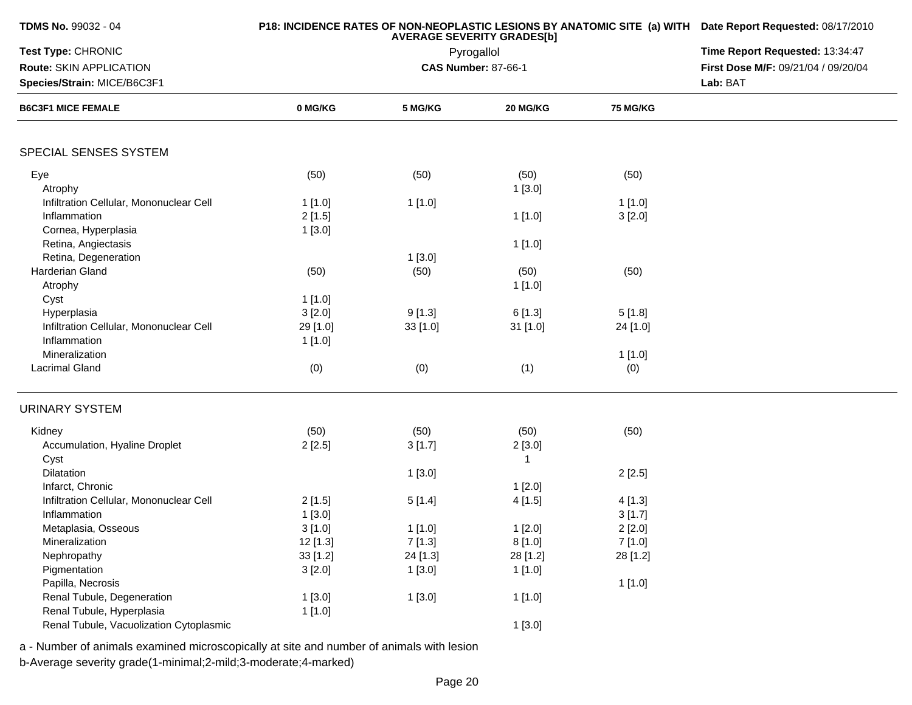| <b>TDMS No. 99032 - 04</b>              |          | P18: INCIDENCE RATES OF NON-NEOPLASTIC LESIONS BY ANATOMIC SITE (a) WITH Date Report Requested: 08/17/2010<br>Time Report Requested: 13:34:47 |                            |                 |                                     |
|-----------------------------------------|----------|-----------------------------------------------------------------------------------------------------------------------------------------------|----------------------------|-----------------|-------------------------------------|
| Test Type: CHRONIC                      |          |                                                                                                                                               |                            |                 |                                     |
| Route: SKIN APPLICATION                 |          |                                                                                                                                               | <b>CAS Number: 87-66-1</b> |                 | First Dose M/F: 09/21/04 / 09/20/04 |
| Species/Strain: MICE/B6C3F1             |          |                                                                                                                                               | Lab: BAT                   |                 |                                     |
| <b>B6C3F1 MICE FEMALE</b>               | 0 MG/KG  | 5 MG/KG                                                                                                                                       | 20 MG/KG                   | <b>75 MG/KG</b> |                                     |
| SPECIAL SENSES SYSTEM                   |          |                                                                                                                                               |                            |                 |                                     |
| Eye                                     | (50)     | (50)                                                                                                                                          | (50)                       | (50)            |                                     |
| Atrophy                                 |          |                                                                                                                                               | 1[3.0]                     |                 |                                     |
| Infiltration Cellular, Mononuclear Cell | 1[1.0]   | 1[1.0]                                                                                                                                        |                            | 1[1.0]          |                                     |
| Inflammation                            | 2[1.5]   |                                                                                                                                               | 1[1.0]                     | 3[2.0]          |                                     |
| Cornea, Hyperplasia                     | 1[3.0]   |                                                                                                                                               |                            |                 |                                     |
| Retina, Angiectasis                     |          |                                                                                                                                               | 1[1.0]                     |                 |                                     |
| Retina, Degeneration                    |          | 1[3.0]                                                                                                                                        |                            |                 |                                     |
| Harderian Gland                         | (50)     | (50)                                                                                                                                          | (50)                       | (50)            |                                     |
| Atrophy                                 |          |                                                                                                                                               | 1[1.0]                     |                 |                                     |
| Cyst                                    |          |                                                                                                                                               |                            |                 |                                     |
|                                         | 1[1.0]   |                                                                                                                                               |                            |                 |                                     |
| Hyperplasia                             | 3[2.0]   | 9[1.3]                                                                                                                                        | 6[1.3]                     | 5[1.8]          |                                     |
| Infiltration Cellular, Mononuclear Cell | 29 [1.0] | 33[1.0]                                                                                                                                       | 31 [1.0]                   | 24 [1.0]        |                                     |
| Inflammation                            | 1[1.0]   |                                                                                                                                               |                            |                 |                                     |
| Mineralization                          |          |                                                                                                                                               |                            | 1[1.0]          |                                     |
| Lacrimal Gland                          | (0)      | (0)                                                                                                                                           | (1)                        | (0)             |                                     |
| <b>URINARY SYSTEM</b>                   |          |                                                                                                                                               |                            |                 |                                     |
| Kidney                                  | (50)     | (50)                                                                                                                                          | (50)                       | (50)            |                                     |
| Accumulation, Hyaline Droplet           | 2[2.5]   | 3[1.7]                                                                                                                                        | 2[3.0]                     |                 |                                     |
| Cyst                                    |          |                                                                                                                                               | 1                          |                 |                                     |
| Dilatation                              |          | 1[3.0]                                                                                                                                        |                            | 2[2.5]          |                                     |
| Infarct, Chronic                        |          |                                                                                                                                               | 1[2.0]                     |                 |                                     |
| Infiltration Cellular, Mononuclear Cell | 2[1.5]   | 5[1.4]                                                                                                                                        | 4[1.5]                     | 4[1.3]          |                                     |
| Inflammation                            | 1[3.0]   |                                                                                                                                               |                            | 3[1.7]          |                                     |
| Metaplasia, Osseous                     | 3[1.0]   | 1[1.0]                                                                                                                                        | 1[2.0]                     | 2[2.0]          |                                     |
| Mineralization                          | 12 [1.3] | 7[1.3]                                                                                                                                        | 8[1.0]                     | 7[1.0]          |                                     |
| Nephropathy                             | 33 [1.2] | 24 [1.3]                                                                                                                                      | 28 [1.2]                   | 28 [1.2]        |                                     |
| Pigmentation                            | 3[2.0]   | 1[3.0]                                                                                                                                        | 1[1.0]                     |                 |                                     |
| Papilla, Necrosis                       |          |                                                                                                                                               |                            | 1[1.0]          |                                     |
| Renal Tubule, Degeneration              | 1[3.0]   | 1[3.0]                                                                                                                                        | 1[1.0]                     |                 |                                     |
| Renal Tubule, Hyperplasia               | 1[1.0]   |                                                                                                                                               |                            |                 |                                     |
| Renal Tubule, Vacuolization Cytoplasmic |          |                                                                                                                                               | 1[3.0]                     |                 |                                     |
|                                         |          |                                                                                                                                               |                            |                 |                                     |